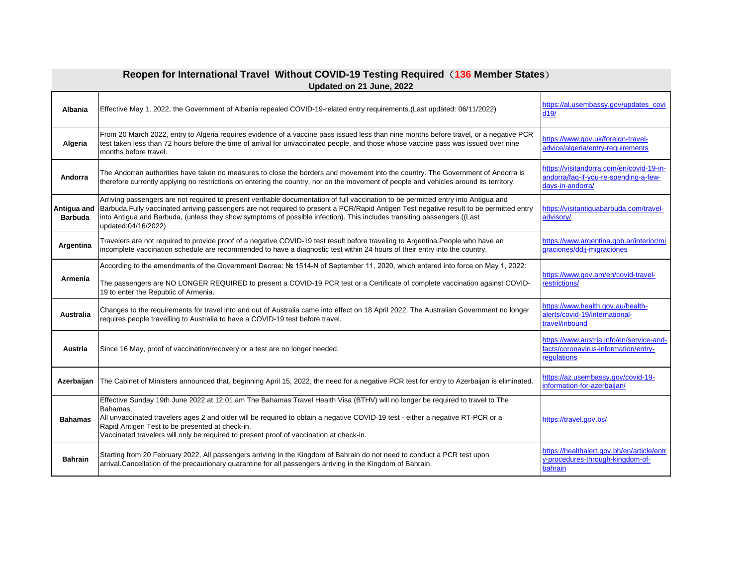| Reopen for International Travel Without COVID-19 Testing Required (136 Member States)<br>Updated on 21 June, 2022 |                                                                                                                                                                                                                                                                                                                                                                                                                                    |                                                                                                       |
|-------------------------------------------------------------------------------------------------------------------|------------------------------------------------------------------------------------------------------------------------------------------------------------------------------------------------------------------------------------------------------------------------------------------------------------------------------------------------------------------------------------------------------------------------------------|-------------------------------------------------------------------------------------------------------|
| <b>Albania</b>                                                                                                    | Effective May 1, 2022, the Government of Albania repealed COVID-19-related entry requirements. (Last updated: 06/11/2022)                                                                                                                                                                                                                                                                                                          | https://al.usembassy.gov/updates_covi<br>d19/                                                         |
| Algeria                                                                                                           | From 20 March 2022, entry to Algeria requires evidence of a vaccine pass issued less than nine months before travel, or a negative PCR<br>test taken less than 72 hours before the time of arrival for unvaccinated people, and those whose vaccine pass was issued over nine<br>months before travel.                                                                                                                             | https://www.gov.uk/foreign-travel-<br>advice/algeria/entry-requirements                               |
| Andorra                                                                                                           | The Andorran authorities have taken no measures to close the borders and movement into the country. The Government of Andorra is<br>therefore currently applying no restrictions on entering the country, nor on the movement of people and vehicles around its territory.                                                                                                                                                         | https://visitandorra.com/en/covid-19-in-<br>andorra/faq-if-you-re-spending-a-few-<br>days-in-andorra/ |
| Antigua and<br><b>Barbuda</b>                                                                                     | Arriving passengers are not required to present verifiable documentation of full vaccination to be permitted entry into Antigua and<br>Barbuda. Fully vaccinated arriving passengers are not required to present a PCR/Rapid Antigen Test negative result to be permitted entry<br>into Antigua and Barbuda, (unless they show symptoms of possible infection). This includes transiting passengers. ((Last<br>updated:04/16/2022) | https://visitantiguabarbuda.com/travel-<br>advisory/                                                  |
| Argentina                                                                                                         | Travelers are not required to provide proof of a negative COVID-19 test result before traveling to Argentina. People who have an<br>incomplete vaccination schedule are recommended to have a diagnostic test within 24 hours of their entry into the country.                                                                                                                                                                     | https://www.argentina.gob.ar/interior/mi<br>graciones/ddjj-migraciones                                |
| Armenia                                                                                                           | According to the amendments of the Government Decree: № 1514-N of September 11, 2020, which entered into force on May 1, 2022:<br>The passengers are NO LONGER REQUIRED to present a COVID-19 PCR test or a Certificate of complete vaccination against COVID-<br>19 to enter the Republic of Armenia.                                                                                                                             | https://www.gov.am/en/covid-travel-<br>restrictions/                                                  |
| <b>Australia</b>                                                                                                  | Changes to the requirements for travel into and out of Australia came into effect on 18 April 2022. The Australian Government no longer<br>requires people travelling to Australia to have a COVID-19 test before travel.                                                                                                                                                                                                          | https://www.health.gov.au/health-<br>alerts/covid-19/international-<br>travel/inbound                 |
| <b>Austria</b>                                                                                                    | Since 16 May, proof of vaccination/recovery or a test are no longer needed.                                                                                                                                                                                                                                                                                                                                                        | https://www.austria.info/en/service-and-<br>facts/coronavirus-information/entry-<br>regulations       |
| Azerbaijan                                                                                                        | The Cabinet of Ministers announced that, beginning April 15, 2022, the need for a negative PCR test for entry to Azerbaijan is eliminated.                                                                                                                                                                                                                                                                                         | https://az.usembassy.gov/covid-19-<br>information-for-azerbaijan/                                     |
| <b>Bahamas</b>                                                                                                    | Effective Sunday 19th June 2022 at 12:01 am The Bahamas Travel Health Visa (BTHV) will no longer be required to travel to The<br>Bahamas.<br>All unvaccinated travelers ages 2 and older will be required to obtain a negative COVID-19 test - either a negative RT-PCR or a<br>Rapid Antigen Test to be presented at check-in.<br>Vaccinated travelers will only be required to present proof of vaccination at check-in.         | https://travel.gov.bs/                                                                                |
| <b>Bahrain</b>                                                                                                    | Starting from 20 February 2022, All passengers arriving in the Kingdom of Bahrain do not need to conduct a PCR test upon<br>arrival.Cancellation of the precautionary quarantine for all passengers arriving in the Kingdom of Bahrain.                                                                                                                                                                                            | https://healthalert.gov.bh/en/article/entr<br>y-procedures-through-kingdom-of-<br>bahrain             |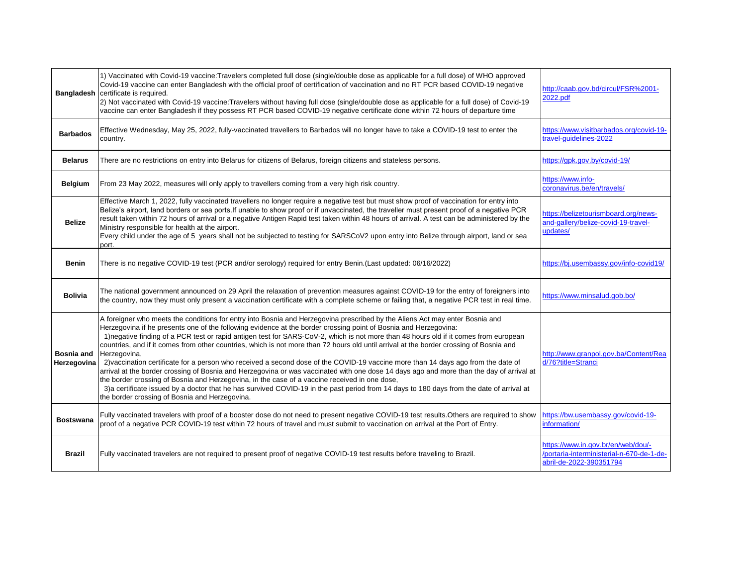|                                  | 1) Vaccinated with Covid-19 vaccine:Travelers completed full dose (single/double dose as applicable for a full dose) of WHO approved<br>Covid-19 vaccine can enter Bangladesh with the official proof of certification of vaccination and no RT PCR based COVID-19 negative<br>Bangladesh certificate is required.<br>2) Not vaccinated with Covid-19 vaccine:Travelers without having full dose (single/double dose as applicable for a full dose) of Covid-19<br>vaccine can enter Bangladesh if they possess RT PCR based COVID-19 negative certificate done within 72 hours of departure time                                                                                                                                                                                                                                                                                                                                                                                                                                                                                                                                     | http://caab.gov.bd/circul/FSR%2001-<br>2022.pdf                                                            |
|----------------------------------|---------------------------------------------------------------------------------------------------------------------------------------------------------------------------------------------------------------------------------------------------------------------------------------------------------------------------------------------------------------------------------------------------------------------------------------------------------------------------------------------------------------------------------------------------------------------------------------------------------------------------------------------------------------------------------------------------------------------------------------------------------------------------------------------------------------------------------------------------------------------------------------------------------------------------------------------------------------------------------------------------------------------------------------------------------------------------------------------------------------------------------------|------------------------------------------------------------------------------------------------------------|
| <b>Barbados</b>                  | Effective Wednesday, May 25, 2022, fully-vaccinated travellers to Barbados will no longer have to take a COVID-19 test to enter the<br>country.                                                                                                                                                                                                                                                                                                                                                                                                                                                                                                                                                                                                                                                                                                                                                                                                                                                                                                                                                                                       | https://www.visitbarbados.org/covid-19-<br>travel-quidelines-2022                                          |
| <b>Belarus</b>                   | There are no restrictions on entry into Belarus for citizens of Belarus, foreign citizens and stateless persons.                                                                                                                                                                                                                                                                                                                                                                                                                                                                                                                                                                                                                                                                                                                                                                                                                                                                                                                                                                                                                      | https://qpk.gov.by/covid-19/                                                                               |
| <b>Belgium</b>                   | From 23 May 2022, measures will only apply to travellers coming from a very high risk country.                                                                                                                                                                                                                                                                                                                                                                                                                                                                                                                                                                                                                                                                                                                                                                                                                                                                                                                                                                                                                                        | https://www.info-<br>coronavirus.be/en/travels/                                                            |
| <b>Belize</b>                    | Effective March 1, 2022, fully vaccinated travellers no longer require a negative test but must show proof of vaccination for entry into<br>Belize's airport, land borders or sea ports. If unable to show proof or if unvaccinated, the traveller must present proof of a negative PCR<br>result taken within 72 hours of arrival or a negative Antigen Rapid test taken within 48 hours of arrival. A test can be administered by the<br>Ministry responsible for health at the airport.<br>Every child under the age of 5 years shall not be subjected to testing for SARSCoV2 upon entry into Belize through airport, land or sea<br>port.                                                                                                                                                                                                                                                                                                                                                                                                                                                                                        | https://belizetourismboard.org/news-<br>and-gallery/belize-covid-19-travel-<br>updates/                    |
| <b>Benin</b>                     | There is no negative COVID-19 test (PCR and/or serology) required for entry Benin.(Last updated: 06/16/2022)                                                                                                                                                                                                                                                                                                                                                                                                                                                                                                                                                                                                                                                                                                                                                                                                                                                                                                                                                                                                                          | https://bj.usembassy.gov/info-covid19/                                                                     |
| <b>Bolivia</b>                   | The national government announced on 29 April the relaxation of prevention measures against COVID-19 for the entry of foreigners into<br>the country, now they must only present a vaccination certificate with a complete scheme or failing that, a negative PCR test in real time.                                                                                                                                                                                                                                                                                                                                                                                                                                                                                                                                                                                                                                                                                                                                                                                                                                                  | https://www.minsalud.gob.bo/                                                                               |
| <b>Bosnia and</b><br>Herzegovina | A foreigner who meets the conditions for entry into Bosnia and Herzegovina prescribed by the Aliens Act may enter Bosnia and<br>Herzegovina if he presents one of the following evidence at the border crossing point of Bosnia and Herzegovina:<br>1) negative finding of a PCR test or rapid antigen test for SARS-CoV-2, which is not more than 48 hours old if it comes from european<br>countries, and if it comes from other countries, which is not more than 72 hours old until arrival at the border crossing of Bosnia and<br>Herzegovina,<br>2) vaccination certificate for a person who received a second dose of the COVID-19 vaccine more than 14 days ago from the date of<br>arrival at the border crossing of Bosnia and Herzegovina or was vaccinated with one dose 14 days ago and more than the day of arrival at<br>the border crossing of Bosnia and Herzegovina, in the case of a vaccine received in one dose,<br>3) a certificate issued by a doctor that he has survived COVID-19 in the past period from 14 days to 180 days from the date of arrival at<br>the border crossing of Bosnia and Herzegovina. | http://www.granpol.gov.ba/Content/Rea<br>d/76?title=Stranci                                                |
| <b>Bostswana</b>                 | Fully vaccinated travelers with proof of a booster dose do not need to present negative COVID-19 test results. Others are required to show<br>proof of a negative PCR COVID-19 test within 72 hours of travel and must submit to vaccination on arrival at the Port of Entry.                                                                                                                                                                                                                                                                                                                                                                                                                                                                                                                                                                                                                                                                                                                                                                                                                                                         | https://bw.usembassy.gov/covid-19-<br>information/                                                         |
| <b>Brazil</b>                    | Fully vaccinated travelers are not required to present proof of negative COVID-19 test results before traveling to Brazil.                                                                                                                                                                                                                                                                                                                                                                                                                                                                                                                                                                                                                                                                                                                                                                                                                                                                                                                                                                                                            | https://www.in.gov.br/en/web/dou/-<br>/portaria-interministerial-n-670-de-1-de-<br>abril-de-2022-390351794 |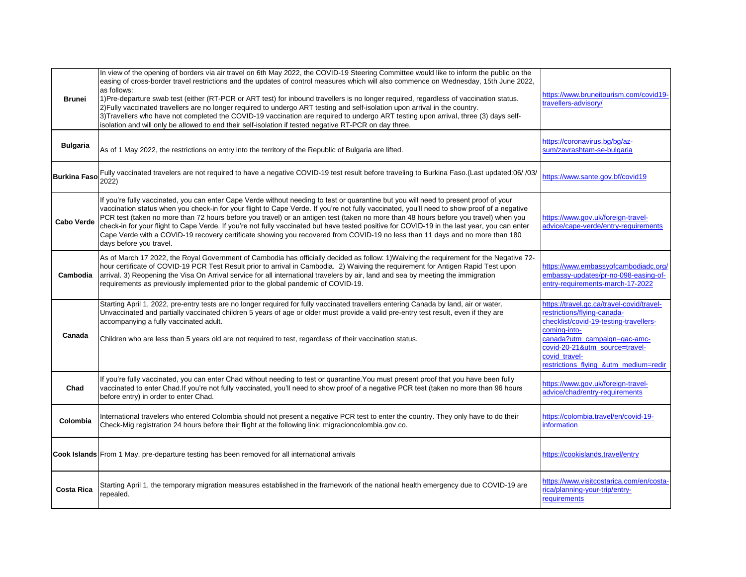| <b>Brunei</b>       | In view of the opening of borders via air travel on 6th May 2022, the COVID-19 Steering Committee would like to inform the public on the<br>easing of cross-border travel restrictions and the updates of control measures which will also commence on Wednesday, 15th June 2022,<br>as follows:<br>1) Pre-departure swab test (either (RT-PCR or ART test) for inbound travellers is no longer required, regardless of vaccination status.<br>2) Fully vaccinated travellers are no longer required to undergo ART testing and self-isolation upon arrival in the country.<br>3) Travellers who have not completed the COVID-19 vaccination are required to undergo ART testing upon arrival, three (3) days self-<br>isolation and will only be allowed to end their self-isolation if tested negative RT-PCR on day three. | https://www.bruneitourism.com/covid19-<br>travellers-advisory/                                                                                                                                                                                                 |
|---------------------|-------------------------------------------------------------------------------------------------------------------------------------------------------------------------------------------------------------------------------------------------------------------------------------------------------------------------------------------------------------------------------------------------------------------------------------------------------------------------------------------------------------------------------------------------------------------------------------------------------------------------------------------------------------------------------------------------------------------------------------------------------------------------------------------------------------------------------|----------------------------------------------------------------------------------------------------------------------------------------------------------------------------------------------------------------------------------------------------------------|
| <b>Bulgaria</b>     | As of 1 May 2022, the restrictions on entry into the territory of the Republic of Bulgaria are lifted.                                                                                                                                                                                                                                                                                                                                                                                                                                                                                                                                                                                                                                                                                                                        | https://coronavirus.bq/bq/az-<br>sum/zavrashtam-se-bulgaria                                                                                                                                                                                                    |
| <b>Burkina Faso</b> | Fully vaccinated travelers are not required to have a negative COVID-19 test result before traveling to Burkina Faso.(Last updated:06//03/<br>2022)                                                                                                                                                                                                                                                                                                                                                                                                                                                                                                                                                                                                                                                                           | https://www.sante.gov.bf/covid19                                                                                                                                                                                                                               |
| <b>Cabo Verde</b>   | If you're fully vaccinated, you can enter Cape Verde without needing to test or quarantine but you will need to present proof of your<br>vaccination status when you check-in for your flight to Cape Verde. If you're not fully vaccinated, you'll need to show proof of a negative<br>PCR test (taken no more than 72 hours before you travel) or an antigen test (taken no more than 48 hours before you travel) when you<br>check-in for your flight to Cape Verde. If you're not fully vaccinated but have tested positive for COVID-19 in the last year, you can enter<br>Cape Verde with a COVID-19 recovery certificate showing you recovered from COVID-19 no less than 11 days and no more than 180<br>days before you travel.                                                                                      | https://www.gov.uk/foreign-travel-<br>advice/cape-verde/entry-requirements                                                                                                                                                                                     |
| Cambodia            | As of March 17 2022, the Royal Government of Cambodia has officially decided as follow: 1) Waiving the requirement for the Negative 72-<br>hour certificate of COVID-19 PCR Test Result prior to arrival in Cambodia. 2) Waiving the requirement for Antigen Rapid Test upon<br>arrival. 3) Reopening the Visa On Arrival service for all international travelers by air, land and sea by meeting the immigration<br>requirements as previously implemented prior to the global pandemic of COVID-19.                                                                                                                                                                                                                                                                                                                         | https://www.embassyofcambodiadc.org/<br>embassy-updates/pr-no-098-easing-of-<br>entry-requirements-march-17-2022                                                                                                                                               |
| Canada              | Starting April 1, 2022, pre-entry tests are no longer required for fully vaccinated travellers entering Canada by land, air or water.<br>Unvaccinated and partially vaccinated children 5 years of age or older must provide a valid pre-entry test result, even if they are<br>accompanying a fully vaccinated adult.<br>Children who are less than 5 years old are not required to test, regardless of their vaccination status.                                                                                                                                                                                                                                                                                                                                                                                            | https://travel.gc.ca/travel-covid/travel-<br>restrictions/flying-canada-<br>checklist/covid-19-testing-travellers-<br>comina-into-<br>canada?utm_campaign=gac-amc-<br>covid-20-21&utm_source=travel-<br>covid travel-<br>restrictions flying &utm medium=redir |
| Chad                | If you're fully vaccinated, you can enter Chad without needing to test or quarantine. You must present proof that you have been fully<br>vaccinated to enter Chad. If you're not fully vaccinated, you'll need to show proof of a negative PCR test (taken no more than 96 hours<br>before entry) in order to enter Chad.                                                                                                                                                                                                                                                                                                                                                                                                                                                                                                     | https://www.gov.uk/foreign-travel-<br>advice/chad/entry-requirements                                                                                                                                                                                           |
| Colombia            | International travelers who entered Colombia should not present a negative PCR test to enter the country. They only have to do their<br>Check-Mig registration 24 hours before their flight at the following link: migracioncolombia.gov.co.                                                                                                                                                                                                                                                                                                                                                                                                                                                                                                                                                                                  | https://colombia.travel/en/covid-19-<br>information                                                                                                                                                                                                            |
|                     | <b>Cook Islands</b> From 1 May, pre-departure testing has been removed for all international arrivals                                                                                                                                                                                                                                                                                                                                                                                                                                                                                                                                                                                                                                                                                                                         | https://cookislands.travel/entry                                                                                                                                                                                                                               |
| Costa Rica          | Starting April 1, the temporary migration measures established in the framework of the national health emergency due to COVID-19 are<br>repealed.                                                                                                                                                                                                                                                                                                                                                                                                                                                                                                                                                                                                                                                                             | https://www.visitcostarica.com/en/costa-<br>rica/planning-your-trip/entry-<br>requirements                                                                                                                                                                     |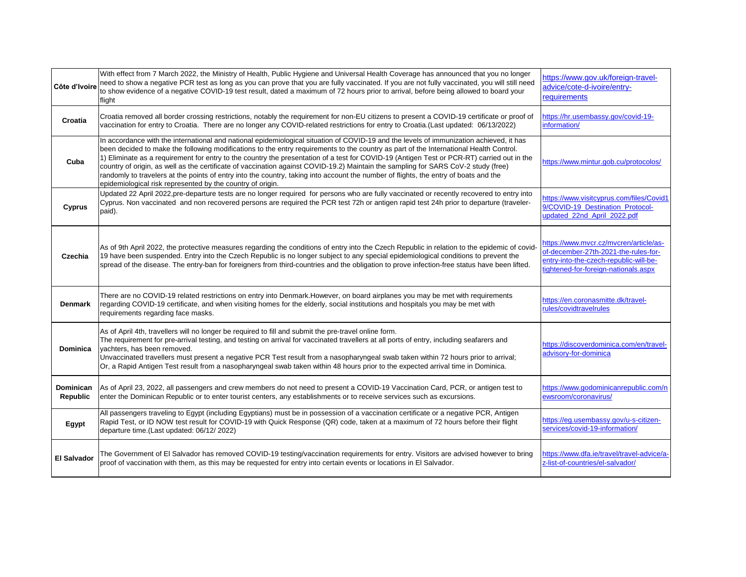| Côte d'Ivoire         | With effect from 7 March 2022, the Ministry of Health, Public Hygiene and Universal Health Coverage has announced that you no longer<br>need to show a negative PCR test as long as you can prove that you are fully vaccinated. If you are not fully vaccinated, you will still need<br>to show evidence of a negative COVID-19 test result, dated a maximum of 72 hours prior to arrival, before being allowed to board your<br>flight                                                                                                                                                                                                                                                                                                                                    | https://www.gov.uk/foreign-travel-<br>advice/cote-d-ivoire/entry-<br>requirements                                                                                |
|-----------------------|-----------------------------------------------------------------------------------------------------------------------------------------------------------------------------------------------------------------------------------------------------------------------------------------------------------------------------------------------------------------------------------------------------------------------------------------------------------------------------------------------------------------------------------------------------------------------------------------------------------------------------------------------------------------------------------------------------------------------------------------------------------------------------|------------------------------------------------------------------------------------------------------------------------------------------------------------------|
| Croatia               | Croatia removed all border crossing restrictions, notably the requirement for non-EU citizens to present a COVID-19 certificate or proof of<br>vaccination for entry to Croatia. There are no longer any COVID-related restrictions for entry to Croatia.(Last updated: 06/13/2022)                                                                                                                                                                                                                                                                                                                                                                                                                                                                                         | https://hr.usembassy.gov/covid-19-<br>information/                                                                                                               |
| Cuba                  | In accordance with the international and national epidemiological situation of COVID-19 and the levels of immunization achieved, it has<br>been decided to make the following modifications to the entry requirements to the country as part of the International Health Control.<br>1) Eliminate as a requirement for entry to the country the presentation of a test for COVID-19 (Antigen Test or PCR-RT) carried out in the<br>country of origin, as well as the certificate of vaccination against COVID-19.2) Maintain the sampling for SARS CoV-2 study (free)<br>randomly to travelers at the points of entry into the country, taking into account the number of flights, the entry of boats and the<br>epidemiological risk represented by the country of origin. | https://www.mintur.gob.cu/protocolos/                                                                                                                            |
| Cyprus                | Updated 22 April 2022, pre-departure tests are no longer required for persons who are fully vaccinated or recently recovered to entry into<br>Cyprus. Non vaccinated and non recovered persons are required the PCR test 72h or antigen rapid test 24h prior to departure (traveler-<br>paid).                                                                                                                                                                                                                                                                                                                                                                                                                                                                              | https://www.visitcyprus.com/files/Covid1<br>9/COVID-19 Destination Protocol-<br>updated 22nd April 2022.pdf                                                      |
| Czechia               | As of 9th April 2022, the protective measures regarding the conditions of entry into the Czech Republic in relation to the epidemic of covid-<br>19 have been suspended. Entry into the Czech Republic is no longer subject to any special epidemiological conditions to prevent the<br>spread of the disease. The entry-ban for foreigners from third-countries and the obligation to prove infection-free status have been lifted.                                                                                                                                                                                                                                                                                                                                        | https://www.mvcr.cz/mvcren/article/as-<br>of-december-27th-2021-the-rules-for-<br>entry-into-the-czech-republic-will-be-<br>tightened-for-foreign-nationals.aspx |
| <b>Denmark</b>        | There are no COVID-19 related restrictions on entry into Denmark. However, on board airplanes you may be met with requirements<br>regarding COVID-19 certificate, and when visiting homes for the elderly, social institutions and hospitals you may be met with<br>requirements regarding face masks.                                                                                                                                                                                                                                                                                                                                                                                                                                                                      | https://en.coronasmitte.dk/travel-<br>rules/covidtravelrules                                                                                                     |
| <b>Dominica</b>       | As of April 4th, travellers will no longer be required to fill and submit the pre-travel online form.<br>The requirement for pre-arrival testing, and testing on arrival for vaccinated travellers at all ports of entry, including seafarers and<br>vachters, has been removed.<br>Unvaccinated travellers must present a negative PCR Test result from a nasopharyngeal swab taken within 72 hours prior to arrival;<br>Or, a Rapid Antigen Test result from a nasopharyngeal swab taken within 48 hours prior to the expected arrival time in Dominica.                                                                                                                                                                                                                  | https://discoverdominica.com/en/travel-<br>advisory-for-dominica                                                                                                 |
| Dominican<br>Republic | As of April 23, 2022, all passengers and crew members do not need to present a COVID-19 Vaccination Card, PCR, or antigen test to<br>enter the Dominican Republic or to enter tourist centers, any establishments or to receive services such as excursions.                                                                                                                                                                                                                                                                                                                                                                                                                                                                                                                | https://www.godominicanrepublic.com/n<br>ewsroom/coronavirus/                                                                                                    |
| Egypt                 | All passengers traveling to Egypt (including Egyptians) must be in possession of a vaccination certificate or a negative PCR, Antigen<br>Rapid Test, or ID NOW test result for COVID-19 with Quick Response (QR) code, taken at a maximum of 72 hours before their flight<br>departure time.(Last updated: 06/12/ 2022)                                                                                                                                                                                                                                                                                                                                                                                                                                                     | https://eq.usembassy.gov/u-s-citizen-<br>services/covid-19-information/                                                                                          |
| <b>El Salvador</b>    | The Government of El Salvador has removed COVID-19 testing/vaccination requirements for entry. Visitors are advised however to bring<br>proof of vaccination with them, as this may be requested for entry into certain events or locations in El Salvador.                                                                                                                                                                                                                                                                                                                                                                                                                                                                                                                 | https://www.dfa.ie/travel/travel-advice/a-<br>z-list-of-countries/el-salvador/                                                                                   |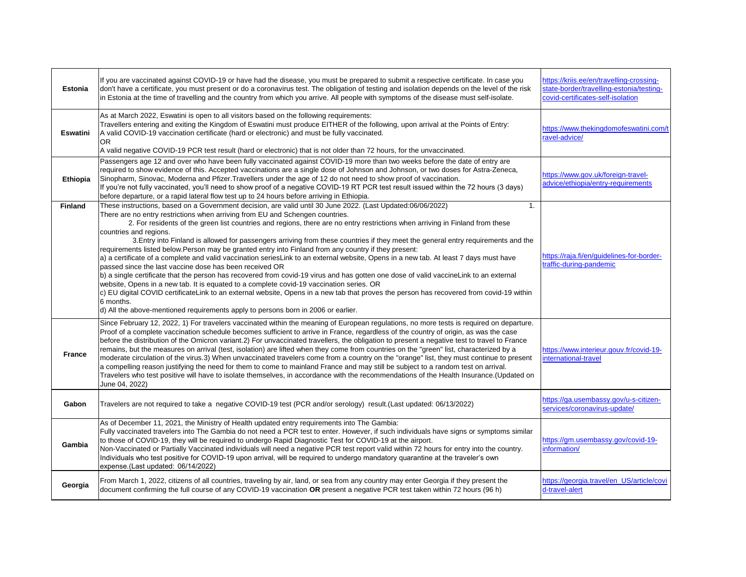| <b>Estonia</b>  | If you are vaccinated against COVID-19 or have had the disease, you must be prepared to submit a respective certificate. In case you<br>don't have a certificate, you must present or do a coronavirus test. The obligation of testing and isolation depends on the level of the risk<br>in Estonia at the time of travelling and the country from which you arrive. All people with symptoms of the disease must self-isolate.                                                                                                                                                                                                                                                                                                                                                                                                                                                                                                                                                                                                                                                                                                                                                                                                                                                                     | https://kriis.ee/en/travelling-crossing-<br>state-border/travelling-estonia/testing-<br>covid-certificates-self-isolation |
|-----------------|-----------------------------------------------------------------------------------------------------------------------------------------------------------------------------------------------------------------------------------------------------------------------------------------------------------------------------------------------------------------------------------------------------------------------------------------------------------------------------------------------------------------------------------------------------------------------------------------------------------------------------------------------------------------------------------------------------------------------------------------------------------------------------------------------------------------------------------------------------------------------------------------------------------------------------------------------------------------------------------------------------------------------------------------------------------------------------------------------------------------------------------------------------------------------------------------------------------------------------------------------------------------------------------------------------|---------------------------------------------------------------------------------------------------------------------------|
| <b>Eswatini</b> | As at March 2022, Eswatini is open to all visitors based on the following requirements:<br>Travellers entering and exiting the Kingdom of Eswatini must produce EITHER of the following, upon arrival at the Points of Entry:<br>A valid COVID-19 vaccination certificate (hard or electronic) and must be fully vaccinated.<br><b>OR</b><br>A valid negative COVID-19 PCR test result (hard or electronic) that is not older than 72 hours, for the unvaccinated.                                                                                                                                                                                                                                                                                                                                                                                                                                                                                                                                                                                                                                                                                                                                                                                                                                  | https://www.thekingdomofeswatini.com/t<br>ravel-advice/                                                                   |
| Ethiopia        | Passengers age 12 and over who have been fully vaccinated against COVID-19 more than two weeks before the date of entry are<br>required to show evidence of this. Accepted vaccinations are a single dose of Johnson and Johnson, or two doses for Astra-Zeneca,<br>Sinopharm, Sinovac, Moderna and Pfizer. Travellers under the age of 12 do not need to show proof of vaccination.<br>If you're not fully vaccinated, you'll need to show proof of a negative COVID-19 RT PCR test result issued within the 72 hours (3 days)<br>before departure, or a rapid lateral flow test up to 24 hours before arriving in Ethiopia.                                                                                                                                                                                                                                                                                                                                                                                                                                                                                                                                                                                                                                                                       | https://www.gov.uk/foreign-travel-<br>advice/ethiopia/entry-requirements                                                  |
| <b>Finland</b>  | These instructions, based on a Government decision, are valid until 30 June 2022. (Last Updated:06/06/2022)<br>1.<br>There are no entry restrictions when arriving from EU and Schengen countries.<br>2. For residents of the green list countries and regions, there are no entry restrictions when arriving in Finland from these<br>countries and regions.<br>3. Entry into Finland is allowed for passengers arriving from these countries if they meet the general entry requirements and the<br>requirements listed below. Person may be granted entry into Finland from any country if they present:<br>a) a certificate of a complete and valid vaccination seriesLink to an external website, Opens in a new tab. At least 7 days must have<br>passed since the last vaccine dose has been received OR<br>b) a single certificate that the person has recovered from covid-19 virus and has gotten one dose of valid vaccine Link to an external<br>website, Opens in a new tab. It is equated to a complete covid-19 vaccination series. OR<br>c) EU digital COVID certificateLink to an external website, Opens in a new tab that proves the person has recovered from covid-19 within<br>6 months.<br>d) All the above-mentioned requirements apply to persons born in 2006 or earlier. | https://raja.fi/en/quidelines-for-border-<br>traffic-during-pandemic                                                      |
| <b>France</b>   | Since February 12, 2022, 1) For travelers vaccinated within the meaning of European regulations, no more tests is reguired on departure.<br>Proof of a complete vaccination schedule becomes sufficient to arrive in France, regardless of the country of origin, as was the case<br>before the distribution of the Omicron variant.2) For unvaccinated travellers, the obligation to present a negative test to travel to France<br>remains, but the measures on arrival (test, isolation) are lifted when they come from countries on the "green" list, characterized by a<br>moderate circulation of the virus.3) When unvaccinated travelers come from a country on the "orange" list, they must continue to present<br>a compelling reason justifying the need for them to come to mainland France and may still be subject to a random test on arrival.<br>Travelers who test positive will have to isolate themselves, in accordance with the recommendations of the Health Insurance.(Updated on<br>June 04, 2022)                                                                                                                                                                                                                                                                          | https://www.interieur.gouv.fr/covid-19-<br>international-travel                                                           |
| Gabon           | Travelers are not required to take a negative COVID-19 test (PCR and/or serology) result.(Last updated: 06/13/2022)                                                                                                                                                                                                                                                                                                                                                                                                                                                                                                                                                                                                                                                                                                                                                                                                                                                                                                                                                                                                                                                                                                                                                                                 | https://ga.usembassy.gov/u-s-citizen-<br>services/coronavirus-update/                                                     |
| Gambia          | As of December 11, 2021, the Ministry of Health updated entry requirements into The Gambia:<br>Fully vaccinated travelers into The Gambia do not need a PCR test to enter. However, if such individuals have signs or symptoms similar<br>to those of COVID-19, they will be required to undergo Rapid Diagnostic Test for COVID-19 at the airport.<br>Non-Vaccinated or Partially Vaccinated individuals will need a negative PCR test report valid within 72 hours for entry into the country.<br>Individuals who test positive for COVID-19 upon arrival, will be required to undergo mandatory quarantine at the traveler's own<br>expense.(Last updated: 06/14/2022)                                                                                                                                                                                                                                                                                                                                                                                                                                                                                                                                                                                                                           | https://gm.usembassy.gov/covid-19-<br>information/                                                                        |
| Georgia         | From March 1, 2022, citizens of all countries, traveling by air, land, or sea from any country may enter Georgia if they present the<br>document confirming the full course of any COVID-19 vaccination OR present a negative PCR test taken within 72 hours (96 h)                                                                                                                                                                                                                                                                                                                                                                                                                                                                                                                                                                                                                                                                                                                                                                                                                                                                                                                                                                                                                                 | https://georgia.travel/en US/article/covi<br>d-travel-alert                                                               |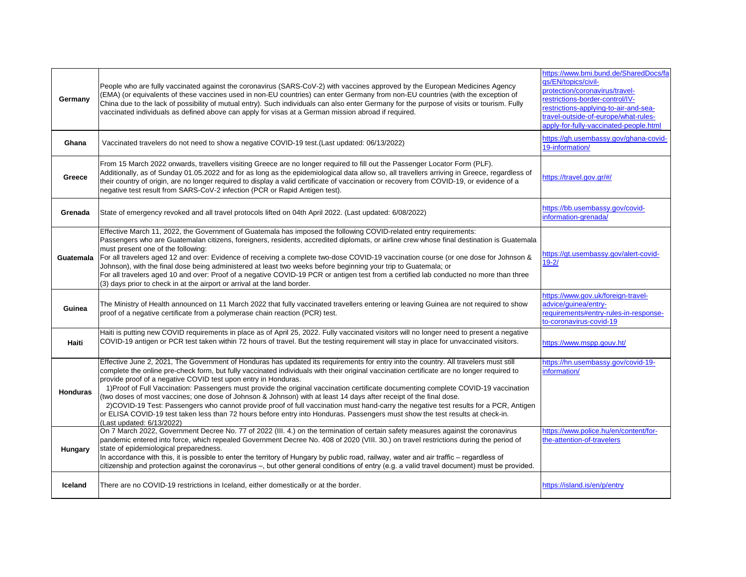| Germany   | People who are fully vaccinated against the coronavirus (SARS-CoV-2) with vaccines approved by the European Medicines Agency<br>(EMA) (or equivalents of these vaccines used in non-EU countries) can enter Germany from non-EU countries (with the exception of<br>China due to the lack of possibility of mutual entry). Such individuals can also enter Germany for the purpose of visits or tourism. Fully<br>vaccinated individuals as defined above can apply for visas at a German mission abroad if required.                                                                                                                                                                                                                                                                                                                                                                                                      | https://www.bmi.bund.de/SharedDocs/fa<br>as/EN/topics/civil-<br>protection/coronavirus/travel-<br>restrictions-border-control/IV-<br>restrictions-applying-to-air-and-sea-<br>travel-outside-of-europe/what-rules-<br>apply-for-fully-vaccinated-people.html |
|-----------|----------------------------------------------------------------------------------------------------------------------------------------------------------------------------------------------------------------------------------------------------------------------------------------------------------------------------------------------------------------------------------------------------------------------------------------------------------------------------------------------------------------------------------------------------------------------------------------------------------------------------------------------------------------------------------------------------------------------------------------------------------------------------------------------------------------------------------------------------------------------------------------------------------------------------|--------------------------------------------------------------------------------------------------------------------------------------------------------------------------------------------------------------------------------------------------------------|
| Ghana     | Vaccinated travelers do not need to show a negative COVID-19 test.(Last updated: 06/13/2022)                                                                                                                                                                                                                                                                                                                                                                                                                                                                                                                                                                                                                                                                                                                                                                                                                               | https://gh.usembassy.gov/ghana-covid-<br>19-information/                                                                                                                                                                                                     |
| Greece    | From 15 March 2022 onwards, travellers visiting Greece are no longer required to fill out the Passenger Locator Form (PLF).<br>Additionally, as of Sunday 01.05.2022 and for as long as the epidemiological data allow so, all travellers arriving in Greece, regardless of<br>their country of origin, are no longer required to display a valid certificate of vaccination or recovery from COVID-19, or evidence of a<br>negative test result from SARS-CoV-2 infection (PCR or Rapid Antigen test).                                                                                                                                                                                                                                                                                                                                                                                                                    | https://travel.gov.gr/#/                                                                                                                                                                                                                                     |
| Grenada   | State of emergency revoked and all travel protocols lifted on 04th April 2022. (Last updated: 6/08/2022)                                                                                                                                                                                                                                                                                                                                                                                                                                                                                                                                                                                                                                                                                                                                                                                                                   | https://bb.usembassy.gov/covid-<br>information-grenada/                                                                                                                                                                                                      |
| Guatemala | Effective March 11, 2022, the Government of Guatemala has imposed the following COVID-related entry requirements:<br>Passengers who are Guatemalan citizens, foreigners, residents, accredited diplomats, or airline crew whose final destination is Guatemala<br>must present one of the following:<br>For all travelers aged 12 and over: Evidence of receiving a complete two-dose COVID-19 vaccination course (or one dose for Johnson &<br>Johnson), with the final dose being administered at least two weeks before beginning your trip to Guatemala; or<br>For all travelers aged 10 and over: Proof of a negative COVID-19 PCR or antigen test from a certified lab conducted no more than three<br>(3) days prior to check in at the airport or arrival at the land border.                                                                                                                                      | https://gt.usembassy.gov/alert-covid-<br>$19 - 2/$                                                                                                                                                                                                           |
| Guinea    | The Ministry of Health announced on 11 March 2022 that fully vaccinated travellers entering or leaving Guinea are not required to show<br>proof of a negative certificate from a polymerase chain reaction (PCR) test.                                                                                                                                                                                                                                                                                                                                                                                                                                                                                                                                                                                                                                                                                                     | https://www.gov.uk/foreign-travel-<br>advice/guinea/entry-<br>requirements#entry-rules-in-response-<br>to-coronavirus-covid-19                                                                                                                               |
| Haiti     | Haiti is putting new COVID requirements in place as of April 25, 2022. Fully vaccinated visitors will no longer need to present a negative<br>COVID-19 antigen or PCR test taken within 72 hours of travel. But the testing requirement will stay in place for unvaccinated visitors.                                                                                                                                                                                                                                                                                                                                                                                                                                                                                                                                                                                                                                      | https://www.mspp.gouv.ht/                                                                                                                                                                                                                                    |
| Honduras  | Effective June 2, 2021, The Government of Honduras has updated its requirements for entry into the country. All travelers must still<br>complete the online pre-check form, but fully vaccinated individuals with their original vaccination certificate are no longer required to<br>provide proof of a negative COVID test upon entry in Honduras.<br>1) Proof of Full Vaccination: Passengers must provide the original vaccination certificate documenting complete COVID-19 vaccination<br>(two doses of most vaccines; one dose of Johnson & Johnson) with at least 14 days after receipt of the final dose.<br>2)COVID-19 Test: Passengers who cannot provide proof of full vaccination must hand-carry the negative test results for a PCR, Antigen<br>or ELISA COVID-19 test taken less than 72 hours before entry into Honduras. Passengers must show the test results at check-in.<br>(Last updated: 6/13/2022) | https://hn.usembassy.gov/covid-19-<br>information/                                                                                                                                                                                                           |
| Hungary   | On 7 March 2022, Government Decree No. 77 of 2022 (III. 4.) on the termination of certain safety measures against the coronavirus<br>pandemic entered into force, which repealed Government Decree No. 408 of 2020 (VIII. 30.) on travel restrictions during the period of<br>state of epidemiological preparedness.<br>In accordance with this, it is possible to enter the territory of Hungary by public road, railway, water and air traffic – regardless of<br>citizenship and protection against the coronavirus -, but other general conditions of entry (e.g. a valid travel document) must be provided.                                                                                                                                                                                                                                                                                                           | https://www.police.hu/en/content/for-<br>the-attention-of-travelers                                                                                                                                                                                          |
| Iceland   | There are no COVID-19 restrictions in Iceland, either domestically or at the border.                                                                                                                                                                                                                                                                                                                                                                                                                                                                                                                                                                                                                                                                                                                                                                                                                                       | https://island.is/en/p/entry                                                                                                                                                                                                                                 |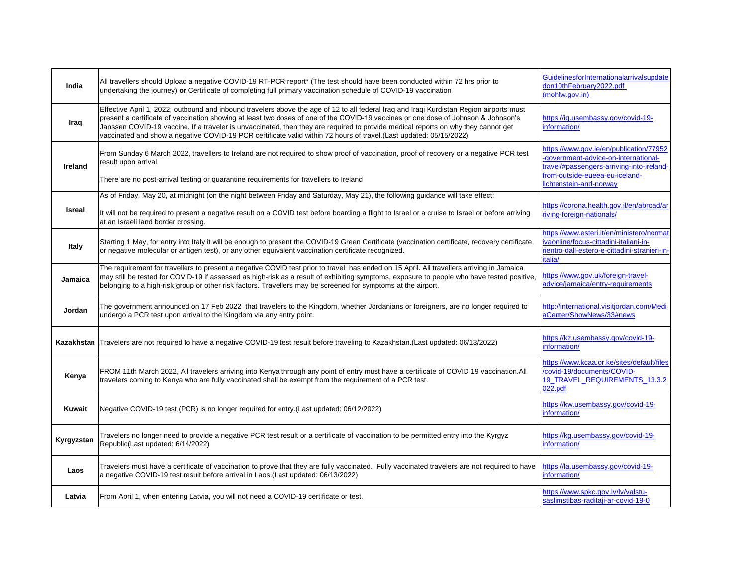| India         | All travellers should Upload a negative COVID-19 RT-PCR report* (The test should have been conducted within 72 hrs prior to<br>undertaking the journey) or Certificate of completing full primary vaccination schedule of COVID-19 vaccination                                                                                                                                                                                                                                                                                            | GuidelinesforInternationalarrivalsupdate<br>don10thFebruary2022.pdf<br>(mohfw.gov.in)                                                                                                     |
|---------------|-------------------------------------------------------------------------------------------------------------------------------------------------------------------------------------------------------------------------------------------------------------------------------------------------------------------------------------------------------------------------------------------------------------------------------------------------------------------------------------------------------------------------------------------|-------------------------------------------------------------------------------------------------------------------------------------------------------------------------------------------|
| Iraq          | Effective April 1, 2022, outbound and inbound travelers above the age of 12 to all federal Iraq and Iraqi Kurdistan Region airports must<br>present a certificate of vaccination showing at least two doses of one of the COVID-19 vaccines or one dose of Johnson & Johnson's<br>Janssen COVID-19 vaccine. If a traveler is unvaccinated, then they are required to provide medical reports on why they cannot get<br>vaccinated and show a negative COVID-19 PCR certificate valid within 72 hours of travel.(Last updated: 05/15/2022) | https://iq.usembassy.gov/covid-19-<br>information/                                                                                                                                        |
| Ireland       | From Sunday 6 March 2022, travellers to Ireland are not required to show proof of vaccination, proof of recovery or a negative PCR test<br>result upon arrival.<br>There are no post-arrival testing or quarantine requirements for travellers to Ireland                                                                                                                                                                                                                                                                                 | https://www.gov.ie/en/publication/77952<br>-government-advice-on-international-<br>travel/#passengers-arriving-into-ireland-<br>from-outside-eueea-eu-iceland-<br>lichtenstein-and-norway |
|               | As of Friday, May 20, at midnight (on the night between Friday and Saturday, May 21), the following guidance will take effect:                                                                                                                                                                                                                                                                                                                                                                                                            |                                                                                                                                                                                           |
| <b>Isreal</b> | It will not be required to present a negative result on a COVID test before boarding a flight to Israel or a cruise to Israel or before arriving<br>at an Israeli land border crossing.                                                                                                                                                                                                                                                                                                                                                   | https://corona.health.gov.il/en/abroad/ar<br>riving-foreign-nationals/                                                                                                                    |
| Italy         | Starting 1 May, for entry into Italy it will be enough to present the COVID-19 Green Certificate (vaccination certificate, recovery certificate,<br>or negative molecular or antigen test), or any other equivalent vaccination certificate recognized.                                                                                                                                                                                                                                                                                   | https://www.esteri.it/en/ministero/normat<br>ivaonline/focus-cittadini-italiani-in-<br>rientro-dall-estero-e-cittadini-stranieri-in-<br>italia/                                           |
| Jamaica       | The requirement for travellers to present a negative COVID test prior to travel has ended on 15 April. All travellers arriving in Jamaica<br>may still be tested for COVID-19 if assessed as high-risk as a result of exhibiting symptoms, exposure to people who have tested positive,<br>belonging to a high-risk group or other risk factors. Travellers may be screened for symptoms at the airport.                                                                                                                                  | https://www.gov.uk/foreign-travel-<br>advice/jamaica/entry-requirements                                                                                                                   |
| Jordan        | The government announced on 17 Feb 2022 that travelers to the Kingdom, whether Jordanians or foreigners, are no longer required to<br>undergo a PCR test upon arrival to the Kingdom via any entry point.                                                                                                                                                                                                                                                                                                                                 | http://international.visitjordan.com/Medi<br>aCenter/ShowNews/33#news                                                                                                                     |
|               | Kazakhstan Travelers are not required to have a negative COVID-19 test result before traveling to Kazakhstan. (Last updated: 06/13/2022)                                                                                                                                                                                                                                                                                                                                                                                                  | https://kz.usembassy.gov/covid-19-<br>information/                                                                                                                                        |
| Kenya         | FROM 11th March 2022, All travelers arriving into Kenya through any point of entry must have a certificate of COVID 19 vaccination.All<br>travelers coming to Kenya who are fully vaccinated shall be exempt from the requirement of a PCR test.                                                                                                                                                                                                                                                                                          | https://www.kcaa.or.ke/sites/default/files<br>/covid-19/documents/COVID-<br>19_TRAVEL_REQUIREMENTS_13.3.2<br>022.pdf                                                                      |
| Kuwait        | Negative COVID-19 test (PCR) is no longer required for entry (Last updated: 06/12/2022)                                                                                                                                                                                                                                                                                                                                                                                                                                                   | https://kw.usembassy.gov/covid-19-<br>information/                                                                                                                                        |
| Kyrgyzstan    | Travelers no longer need to provide a negative PCR test result or a certificate of vaccination to be permitted entry into the Kyrgyz<br>Republic(Last updated: 6/14/2022)                                                                                                                                                                                                                                                                                                                                                                 | https://kg.usembassy.gov/covid-19-<br>information/                                                                                                                                        |
| Laos          | Travelers must have a certificate of vaccination to prove that they are fully vaccinated. Fully vaccinated travelers are not required to have<br>a negative COVID-19 test result before arrival in Laos.(Last updated: 06/13/2022)                                                                                                                                                                                                                                                                                                        | https://la.usembassy.gov/covid-19-<br>information/                                                                                                                                        |
| Latvia        | From April 1, when entering Latvia, you will not need a COVID-19 certificate or test.                                                                                                                                                                                                                                                                                                                                                                                                                                                     | https://www.spkc.gov.lv/lv/valstu-<br>saslimstibas-raditaji-ar-covid-19-0                                                                                                                 |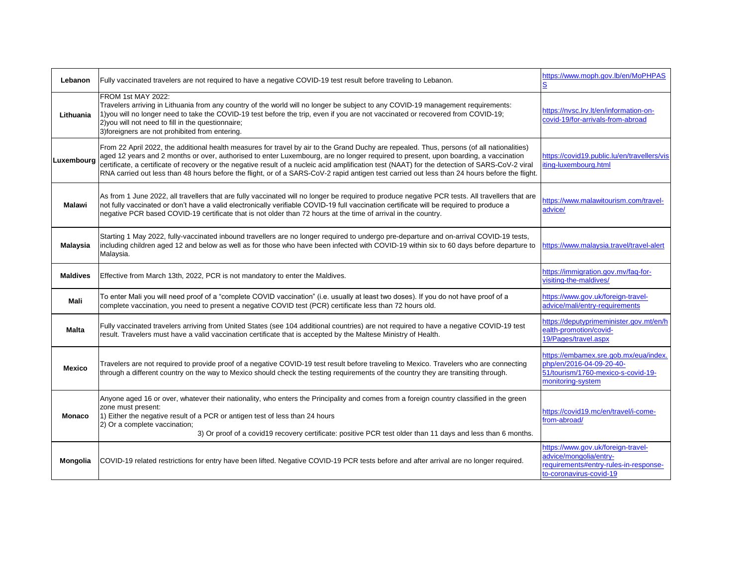| Lebanon         | Fully vaccinated travelers are not required to have a negative COVID-19 test result before traveling to Lebanon.                                                                                                                                                                                                                                                                                                                                                                                                                                                                      | https://www.moph.gov.lb/en/MoPHPAS                                                                                               |
|-----------------|---------------------------------------------------------------------------------------------------------------------------------------------------------------------------------------------------------------------------------------------------------------------------------------------------------------------------------------------------------------------------------------------------------------------------------------------------------------------------------------------------------------------------------------------------------------------------------------|----------------------------------------------------------------------------------------------------------------------------------|
| Lithuania       | <b>FROM 1st MAY 2022:</b><br>Travelers arriving in Lithuania from any country of the world will no longer be subject to any COVID-19 management requirements:<br>1) you will no longer need to take the COVID-19 test before the trip, even if you are not vaccinated or recovered from COVID-19;<br>2) you will not need to fill in the questionnaire;<br>3) foreigners are not prohibited from entering.                                                                                                                                                                            | https://nvsc.lrv.lt/en/information-on-<br>covid-19/for-arrivals-from-abroad                                                      |
| Luxembourg      | From 22 April 2022, the additional health measures for travel by air to the Grand Duchy are repealed. Thus, persons (of all nationalities)<br>aged 12 years and 2 months or over, authorised to enter Luxembourg, are no longer required to present, upon boarding, a vaccination<br>certificate, a certificate of recovery or the negative result of a nucleic acid amplification test (NAAT) for the detection of SARS-CoV-2 viral<br>RNA carried out less than 48 hours before the flight, or of a SARS-CoV-2 rapid antigen test carried out less than 24 hours before the flight. | https://covid19.public.lu/en/travellers/vis<br>iting-luxembourg.html                                                             |
| <b>Malawi</b>   | As from 1 June 2022, all travellers that are fully vaccinated will no longer be required to produce negative PCR tests. All travellers that are<br>not fully vaccinated or don't have a valid electronically verifiable COVID-19 full vaccination certificate will be required to produce a<br>negative PCR based COVID-19 certificate that is not older than 72 hours at the time of arrival in the country.                                                                                                                                                                         | https://www.malawitourism.com/travel-<br>advice/                                                                                 |
| <b>Malaysia</b> | Starting 1 May 2022, fully-vaccinated inbound travellers are no longer required to undergo pre-departure and on-arrival COVID-19 tests,<br>including children aged 12 and below as well as for those who have been infected with COVID-19 within six to 60 days before departure to<br>Malaysia.                                                                                                                                                                                                                                                                                      | https://www.malaysia.travel/travel-alert                                                                                         |
| <b>Maldives</b> | Effective from March 13th, 2022, PCR is not mandatory to enter the Maldives.                                                                                                                                                                                                                                                                                                                                                                                                                                                                                                          | https://immigration.gov.mv/faq-for-<br>visiting-the-maldives/                                                                    |
| Mali            | To enter Mali you will need proof of a "complete COVID vaccination" (i.e. usually at least two doses). If you do not have proof of a<br>complete vaccination, you need to present a negative COVID test (PCR) certificate less than 72 hours old.                                                                                                                                                                                                                                                                                                                                     | https://www.gov.uk/foreign-travel-<br>advice/mali/entry-requirements                                                             |
| <b>Malta</b>    | Fully vaccinated travelers arriving from United States (see 104 additional countries) are not required to have a negative COVID-19 test<br>result. Travelers must have a valid vaccination certificate that is accepted by the Maltese Ministry of Health.                                                                                                                                                                                                                                                                                                                            | https://deputyprimeminister.gov.mt/en/h<br>ealth-promotion/covid-<br>19/Pages/travel.aspx                                        |
| <b>Mexico</b>   | Travelers are not required to provide proof of a negative COVID-19 test result before traveling to Mexico. Travelers who are connecting<br>through a different country on the way to Mexico should check the testing requirements of the country they are transiting through.                                                                                                                                                                                                                                                                                                         | https://embamex.sre.gob.mx/eua/index.<br>php/en/2016-04-09-20-40-<br>51/tourism/1760-mexico-s-covid-19-<br>monitoring-system     |
| <b>Monaco</b>   | Anyone aged 16 or over, whatever their nationality, who enters the Principality and comes from a foreign country classified in the green<br>zone must present:<br>1) Either the negative result of a PCR or antigen test of less than 24 hours<br>2) Or a complete vaccination;<br>3) Or proof of a covid19 recovery certificate: positive PCR test older than 11 days and less than 6 months.                                                                                                                                                                                        | https://covid19.mc/en/travel/i-come-<br>from-abroad/                                                                             |
| Mongolia        | COVID-19 related restrictions for entry have been lifted. Negative COVID-19 PCR tests before and after arrival are no longer required.                                                                                                                                                                                                                                                                                                                                                                                                                                                | https://www.gov.uk/foreign-travel-<br>advice/mongolia/entry-<br>requirements#entry-rules-in-response-<br>to-coronavirus-covid-19 |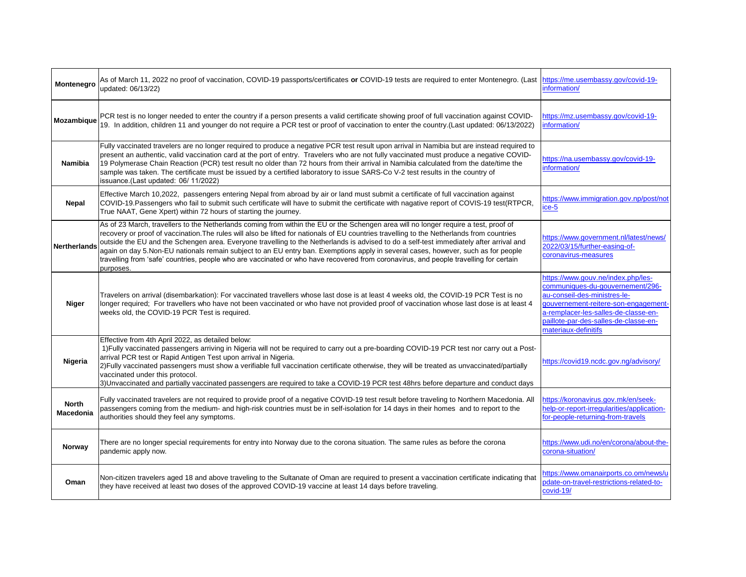| Montenegro                | As of March 11, 2022 no proof of vaccination, COVID-19 passports/certificates or COVID-19 tests are required to enter Montenegro. (Last  https://me.usembassy.gov/covid-19-<br>updated: 06/13/22)                                                                                                                                                                                                                                                                                                                                                                                                                                                                                                                        | information/                                                                                                                                                                                                                                            |
|---------------------------|--------------------------------------------------------------------------------------------------------------------------------------------------------------------------------------------------------------------------------------------------------------------------------------------------------------------------------------------------------------------------------------------------------------------------------------------------------------------------------------------------------------------------------------------------------------------------------------------------------------------------------------------------------------------------------------------------------------------------|---------------------------------------------------------------------------------------------------------------------------------------------------------------------------------------------------------------------------------------------------------|
| Mozambique                | PCR test is no longer needed to enter the country if a person presents a valid certificate showing proof of full vaccination against COVID-<br>19. In addition, children 11 and younger do not require a PCR test or proof of vaccination to enter the country.(Last updated: 06/13/2022)                                                                                                                                                                                                                                                                                                                                                                                                                                | https://mz.usembassy.gov/covid-19-<br>information/                                                                                                                                                                                                      |
| <b>Namibia</b>            | Fully vaccinated travelers are no longer required to produce a negative PCR test result upon arrival in Namibia but are instead required to<br>present an authentic, valid vaccination card at the port of entry. Travelers who are not fully vaccinated must produce a negative COVID-<br>19 Polymerase Chain Reaction (PCR) test result no older than 72 hours from their arrival in Namibia calculated from the date/time the<br>sample was taken. The certificate must be issued by a certified laboratory to issue SARS-Co V-2 test results in the country of<br>issuance.(Last updated: 06/ 11/2022)                                                                                                               | https://na.usembassy.gov/covid-19-<br>information/                                                                                                                                                                                                      |
| <b>Nepal</b>              | Effective March 10,2022, passengers entering Nepal from abroad by air or land must submit a certificate of full vaccination against<br>COVID-19.Passengers who fail to submit such certificate will have to submit the certificate with nagative report of COVIS-19 test(RTPCR,<br>True NAAT, Gene Xpert) within 72 hours of starting the journey.                                                                                                                                                                                                                                                                                                                                                                       | https://www.immigration.gov.np/post/not<br>ice-5                                                                                                                                                                                                        |
| <b>Nertherlands</b>       | As of 23 March, travellers to the Netherlands coming from within the EU or the Schengen area will no longer require a test, proof of<br>recovery or proof of vaccination. The rules will also be lifted for nationals of EU countries travelling to the Netherlands from countries<br>outside the EU and the Schengen area. Everyone travelling to the Netherlands is advised to do a self-test immediately after arrival and<br>again on day 5.Non-EU nationals remain subject to an EU entry ban. Exemptions apply in several cases, however, such as for people<br>travelling from 'safe' countries, people who are vaccinated or who have recovered from coronavirus, and people travelling for certain<br>purposes. | https://www.government.nl/latest/news/<br>2022/03/15/further-easing-of-<br>coronavirus-measures                                                                                                                                                         |
| Niger                     | Travelers on arrival (disembarkation): For vaccinated travellers whose last dose is at least 4 weeks old, the COVID-19 PCR Test is no<br>longer required; For travellers who have not been vaccinated or who have not provided proof of vaccination whose last dose is at least 4<br>weeks old, the COVID-19 PCR Test is required.                                                                                                                                                                                                                                                                                                                                                                                       | https://www.gouv.ne/index.php/les-<br>communiques-du-gouvernement/296-<br>au-conseil-des-ministres-le-<br>gouvernement-reitere-son-engagement-<br>a-remplacer-les-salles-de-classe-en-<br>paillote-par-des-salles-de-classe-en-<br>materiaux-definitifs |
| Nigeria                   | Effective from 4th April 2022, as detailed below:<br>1) Fully vaccinated passengers arriving in Nigeria will not be required to carry out a pre-boarding COVID-19 PCR test nor carry out a Post-<br>arrival PCR test or Rapid Antigen Test upon arrival in Nigeria.<br>2)Fully vaccinated passengers must show a verifiable full vaccination certificate otherwise, they will be treated as unvaccinated/partially<br>vaccinated under this protocol.<br>3) Unvaccinated and partially vaccinated passengers are required to take a COVID-19 PCR test 48hrs before departure and conduct days                                                                                                                            | https://covid19.ncdc.gov.ng/advisory/                                                                                                                                                                                                                   |
| <b>North</b><br>Macedonia | Fully vaccinated travelers are not required to provide proof of a negative COVID-19 test result before traveling to Northern Macedonia. All<br>passengers coming from the medium- and high-risk countries must be in self-isolation for 14 days in their homes and to report to the<br>authorities should they feel any symptoms.                                                                                                                                                                                                                                                                                                                                                                                        | https://koronavirus.gov.mk/en/seek-<br>help-or-report-irregularities/application-<br>for-people-returning-from-travels                                                                                                                                  |
| Norway                    | There are no longer special requirements for entry into Norway due to the corona situation. The same rules as before the corona<br>pandemic apply now.                                                                                                                                                                                                                                                                                                                                                                                                                                                                                                                                                                   | https://www.udi.no/en/corona/about-the-<br>corona-situation/                                                                                                                                                                                            |
| Oman                      | Non-citizen travelers aged 18 and above traveling to the Sultanate of Oman are required to present a vaccination certificate indicating that<br>they have received at least two doses of the approved COVID-19 vaccine at least 14 days before traveling.                                                                                                                                                                                                                                                                                                                                                                                                                                                                | https://www.omanairports.co.om/news/u<br>pdate-on-travel-restrictions-related-to-<br>covid-19/                                                                                                                                                          |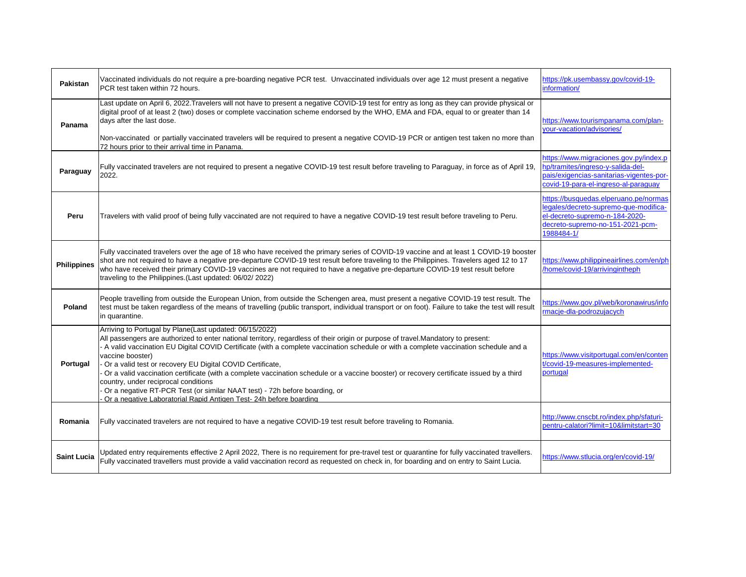| Pakistan           | Vaccinated individuals do not require a pre-boarding negative PCR test. Unvaccinated individuals over age 12 must present a negative<br>PCR test taken within 72 hours.                                                                                                                                                                                                                                                                                                                                                                                                                                                                                                                                                                                        | https://pk.usembassy.gov/covid-19-<br>information/                                                                                                                 |
|--------------------|----------------------------------------------------------------------------------------------------------------------------------------------------------------------------------------------------------------------------------------------------------------------------------------------------------------------------------------------------------------------------------------------------------------------------------------------------------------------------------------------------------------------------------------------------------------------------------------------------------------------------------------------------------------------------------------------------------------------------------------------------------------|--------------------------------------------------------------------------------------------------------------------------------------------------------------------|
| Panama             | Last update on April 6, 2022. Travelers will not have to present a negative COVID-19 test for entry as long as they can provide physical or<br>digital proof of at least 2 (two) doses or complete vaccination scheme endorsed by the WHO, EMA and FDA, equal to or greater than 14<br>days after the last dose.<br>Non-vaccinated or partially vaccinated travelers will be required to present a negative COVID-19 PCR or antigen test taken no more than<br>72 hours prior to their arrival time in Panama.                                                                                                                                                                                                                                                 | https://www.tourismpanama.com/plan-<br>vour-vacation/advisories/                                                                                                   |
| Paraguay           | Fully vaccinated travelers are not required to present a negative COVID-19 test result before traveling to Paraguay, in force as of April 19,<br>2022.                                                                                                                                                                                                                                                                                                                                                                                                                                                                                                                                                                                                         | https://www.migraciones.gov.py/index.p<br>hp/tramites/ingreso-y-salida-del-<br>pais/exigencias-sanitarias-vigentes-por-<br>covid-19-para-el-ingreso-al-paraguay    |
| Peru               | Travelers with valid proof of being fully vaccinated are not required to have a negative COVID-19 test result before traveling to Peru.                                                                                                                                                                                                                                                                                                                                                                                                                                                                                                                                                                                                                        | https://busquedas.elperuano.pe/normas<br>legales/decreto-supremo-que-modifica-<br>el-decreto-supremo-n-184-2020-<br>decreto-supremo-no-151-2021-pcm-<br>1988484-1/ |
| <b>Philippines</b> | Fully vaccinated travelers over the age of 18 who have received the primary series of COVID-19 vaccine and at least 1 COVID-19 booster<br>shot are not required to have a negative pre-departure COVID-19 test result before traveling to the Philippines. Travelers aged 12 to 17<br>who have received their primary COVID-19 vaccines are not required to have a negative pre-departure COVID-19 test result before<br>traveling to the Philippines. (Last updated: 06/02/ 2022)                                                                                                                                                                                                                                                                             | https://www.philippineairlines.com/en/ph<br>/home/covid-19/arrivingintheph                                                                                         |
| Poland             | People travelling from outside the European Union, from outside the Schengen area, must present a negative COVID-19 test result. The<br>test must be taken regardless of the means of travelling (public transport, individual transport or on foot). Failure to take the test will result<br>in quarantine.                                                                                                                                                                                                                                                                                                                                                                                                                                                   | https://www.gov.pl/web/koronawirus/info<br>rmacie-dla-podrozujących                                                                                                |
| Portugal           | Arriving to Portugal by Plane(Last updated: 06/15/2022)<br>All passengers are authorized to enter national territory, regardless of their origin or purpose of travel.Mandatory to present:<br>- A valid vaccination EU Digital COVID Certificate (with a complete vaccination schedule or with a complete vaccination schedule and a<br>vaccine booster)<br>Or a valid test or recovery EU Digital COVID Certificate,<br>Or a valid vaccination certificate (with a complete vaccination schedule or a vaccine booster) or recovery certificate issued by a third<br>country, under reciprocal conditions<br>Or a negative RT-PCR Test (or similar NAAT test) - 72h before boarding, or<br>Or a negative Laboratorial Rapid Antigen Test- 24h before boarding | https://www.visitportugal.com/en/conten<br>t/covid-19-measures-implemented-<br>portugal                                                                            |
| Romania            | Fully vaccinated travelers are not required to have a negative COVID-19 test result before traveling to Romania.                                                                                                                                                                                                                                                                                                                                                                                                                                                                                                                                                                                                                                               | http://www.cnscbt.ro/index.php/sfaturi-<br>pentru-calatori?limit=10&limitstart=30                                                                                  |
| <b>Saint Lucia</b> | Updated entry requirements effective 2 April 2022, There is no requirement for pre-travel test or quarantine for fully vaccinated travellers.<br>Fully vaccinated travellers must provide a valid vaccination record as requested on check in, for boarding and on entry to Saint Lucia.                                                                                                                                                                                                                                                                                                                                                                                                                                                                       | https://www.stlucia.org/en/covid-19/                                                                                                                               |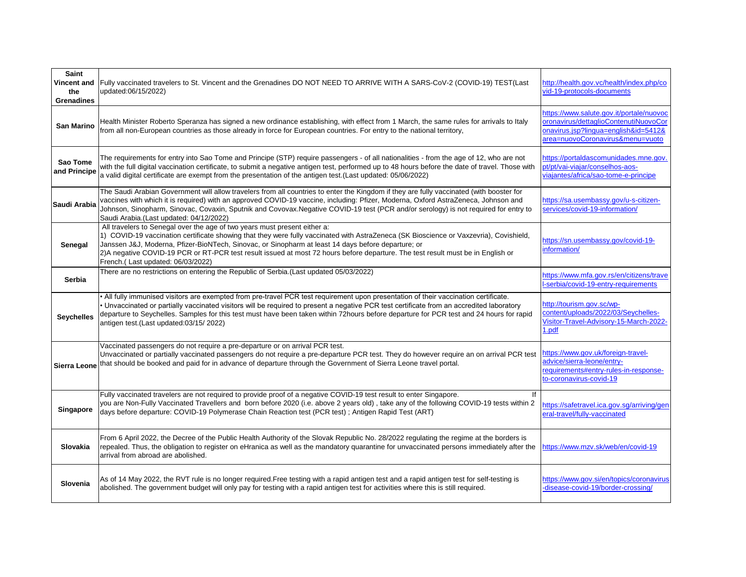| <b>Saint</b><br><b>Vincent and</b><br>the<br><b>Grenadines</b> | Fully vaccinated travelers to St. Vincent and the Grenadines DO NOT NEED TO ARRIVE WITH A SARS-CoV-2 (COVID-19) TEST(Last<br>updated:06/15/2022)                                                                                                                                                                                                                                                                                                                                                   | http://health.gov.vc/health/index.php/co<br>vid-19-protocols-documents                                                                                        |
|----------------------------------------------------------------|----------------------------------------------------------------------------------------------------------------------------------------------------------------------------------------------------------------------------------------------------------------------------------------------------------------------------------------------------------------------------------------------------------------------------------------------------------------------------------------------------|---------------------------------------------------------------------------------------------------------------------------------------------------------------|
| <b>San Marino</b>                                              | Health Minister Roberto Speranza has signed a new ordinance establishing, with effect from 1 March, the same rules for arrivals to Italy<br>from all non-European countries as those already in force for European countries. For entry to the national territory,                                                                                                                                                                                                                                 | https://www.salute.gov.it/portale/nuovoc<br>oronavirus/dettaglioContenutiNuovoCor<br>onavirus.jsp?lingua=english&id=5412&<br>area=nuovoCoronavirus&menu=vuoto |
| Sao Tome<br>and Principe                                       | The requirements for entry into Sao Tome and Principe (STP) require passengers - of all nationalities - from the age of 12, who are not<br>with the full digital vaccination certificate, to submit a negative antigen test, performed up to 48 hours before the date of travel. Those with<br>a valid digital certificate are exempt from the presentation of the antigen test.(Last updated: 05/06/2022)                                                                                         | https://portaldascomunidades.mne.gov.<br>pt/pt/vai-viajar/conselhos-aos-<br>viajantes/africa/sao-tome-e-principe                                              |
| Saudi Arabia                                                   | The Saudi Arabian Government will allow travelers from all countries to enter the Kingdom if they are fully vaccinated (with booster for<br>vaccines with which it is required) with an approved COVID-19 vaccine, including: Pfizer, Moderna, Oxford AstraZeneca, Johnson and<br>Johnson, Sinopharm, Sinovac, Covaxin, Sputnik and Covovax.Negative COVID-19 test (PCR and/or serology) is not required for entry to<br>Saudi Arabia.(Last updated: 04/12/2022)                                   | https://sa.usembassy.gov/u-s-citizen-<br>services/covid-19-information/                                                                                       |
| Senegal                                                        | All travelers to Senegal over the age of two years must present either a:<br>1) COVID-19 vaccination certificate showing that they were fully vaccinated with AstraZeneca (SK Bioscience or Vaxzevria), Covishield,<br>Janssen J&J, Moderna, Pfizer-BioNTech, Sinovac, or Sinopharm at least 14 days before departure; or<br>2) A negative COVID-19 PCR or RT-PCR test result issued at most 72 hours before departure. The test result must be in English or<br>French.(Last updated: 06/03/2022) | https://sn.usembassy.gov/covid-19-<br>information/                                                                                                            |
| Serbia                                                         | There are no restrictions on entering the Republic of Serbia.(Last updated 05/03/2022)                                                                                                                                                                                                                                                                                                                                                                                                             | https://www.mfa.gov.rs/en/citizens/trave<br>I-serbia/covid-19-entry-requirements                                                                              |
| <b>Seychelles</b>                                              | . All fully immunised visitors are exempted from pre-travel PCR test requirement upon presentation of their vaccination certificate.<br>• Unvaccinated or partially vaccinated visitors will be required to present a negative PCR test certificate from an accredited laboratory<br>departure to Seychelles. Samples for this test must have been taken within 72hours before departure for PCR test and 24 hours for rapid<br>antigen test.(Last updated:03/15/2022)                             | http://tourism.gov.sc/wp-<br>content/uploads/2022/03/Sevchelles-<br>Visitor-Travel-Advisory-15-March-2022-<br>1.pdf                                           |
| <b>Sierra Leone</b>                                            | Vaccinated passengers do not require a pre-departure or on arrival PCR test.<br>Unvaccinated or partially vaccinated passengers do not require a pre-departure PCR test. They do however require an on arrival PCR test<br>that should be booked and paid for in advance of departure through the Government of Sierra Leone travel portal.                                                                                                                                                        | https://www.gov.uk/foreign-travel-<br>advice/sierra-leone/entry-<br>requirements#entry-rules-in-response-<br>to-coronavirus-covid-19                          |
| Singapore                                                      | Fully vaccinated travelers are not required to provide proof of a negative COVID-19 test result to enter Singapore.<br>lf<br>you are Non-Fully Vaccinated Travellers and born before 2020 (i.e. above 2 years old), take any of the following COVID-19 tests within 2<br>days before departure: COVID-19 Polymerase Chain Reaction test (PCR test) ; Antigen Rapid Test (ART)                                                                                                                      | https://safetravel.ica.gov.sg/arriving/gen<br>eral-travel/fully-vaccinated                                                                                    |
| Slovakia                                                       | From 6 April 2022, the Decree of the Public Health Authority of the Slovak Republic No. 28/2022 regulating the regime at the borders is<br>repealed. Thus, the obligation to register on eHranica as well as the mandatory quarantine for unvaccinated persons immediately after the<br>arrival from abroad are abolished.                                                                                                                                                                         | https://www.mzv.sk/web/en/covid-19                                                                                                                            |
| Slovenia                                                       | As of 14 May 2022, the RVT rule is no longer required. Free testing with a rapid antigen test and a rapid antigen test for self-testing is<br>abolished. The government budget will only pay for testing with a rapid antigen test for activities where this is still required.                                                                                                                                                                                                                    | https://www.gov.si/en/topics/coronavirus<br>-disease-covid-19/border-crossing/                                                                                |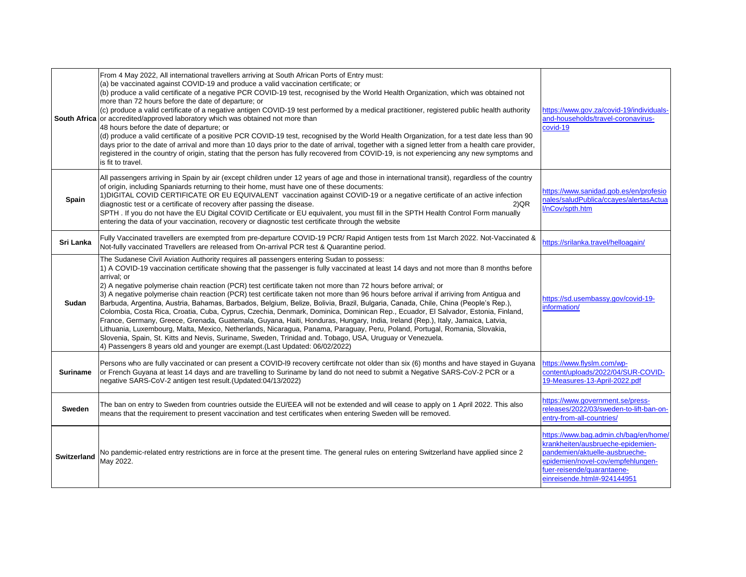|                 | From 4 May 2022, All international travellers arriving at South African Ports of Entry must:<br>(a) be vaccinated against COVID-19 and produce a valid vaccination certificate; or<br>(b) produce a valid certificate of a negative PCR COVID-19 test, recognised by the World Health Organization, which was obtained not<br>more than 72 hours before the date of departure; or<br>(c) produce a valid certificate of a negative antigen COVID-19 test performed by a medical practitioner, registered public health authority<br><b>South Africa</b> or accredited/approved laboratory which was obtained not more than<br>48 hours before the date of departure; or<br>(d) produce a valid certificate of a positive PCR COVID-19 test, recognised by the World Health Organization, for a test date less than 90<br>days prior to the date of arrival and more than 10 days prior to the date of arrival, together with a signed letter from a health care provider,<br>registered in the country of origin, stating that the person has fully recovered from COVID-19, is not experiencing any new symptoms and<br>is fit to travel.                                                                                                           | https://www.gov.za/covid-19/individuals-<br>and-households/travel-coronavirus-<br>covid-19                                                                                                                     |
|-----------------|------------------------------------------------------------------------------------------------------------------------------------------------------------------------------------------------------------------------------------------------------------------------------------------------------------------------------------------------------------------------------------------------------------------------------------------------------------------------------------------------------------------------------------------------------------------------------------------------------------------------------------------------------------------------------------------------------------------------------------------------------------------------------------------------------------------------------------------------------------------------------------------------------------------------------------------------------------------------------------------------------------------------------------------------------------------------------------------------------------------------------------------------------------------------------------------------------------------------------------------------------|----------------------------------------------------------------------------------------------------------------------------------------------------------------------------------------------------------------|
| Spain           | All passengers arriving in Spain by air (except children under 12 years of age and those in international transit), regardless of the country<br>of origin, including Spaniards returning to their home, must have one of these documents:<br>1) DIGITAL COVID CERTIFICATE OR EU EQUIVALENT vaccination against COVID-19 or a negative certificate of an active infection<br>diagnostic test or a certificate of recovery after passing the disease.<br>2)QR<br>SPTH. If you do not have the EU Digital COVID Certificate or EU equivalent, you must fill in the SPTH Health Control Form manually<br>entering the data of your vaccination, recovery or diagnostic test certificate through the website                                                                                                                                                                                                                                                                                                                                                                                                                                                                                                                                             | https://www.sanidad.gob.es/en/profesio<br>nales/saludPublica/ccaves/alertasActua<br>I/nCov/spth.htm                                                                                                            |
| Sri Lanka       | Fully Vaccinated travellers are exempted from pre-departure COVID-19 PCR/ Rapid Antigen tests from 1st March 2022. Not-Vaccinated &<br>Not-fully vaccinated Travellers are released from On-arrival PCR test & Quarantine period.                                                                                                                                                                                                                                                                                                                                                                                                                                                                                                                                                                                                                                                                                                                                                                                                                                                                                                                                                                                                                    | https://srilanka.travel/helloagain/                                                                                                                                                                            |
| Sudan           | The Sudanese Civil Aviation Authority requires all passengers entering Sudan to possess:<br>1) A COVID-19 vaccination certificate showing that the passenger is fully vaccinated at least 14 days and not more than 8 months before<br>arrival: or<br>(2) A negative polymerise chain reaction (PCR) test certificate taken not more than 72 hours before arrival; or<br>3) A negative polymerise chain reaction (PCR) test certificate taken not more than 96 hours before arrival if arriving from Antigua and<br>Barbuda, Argentina, Austria, Bahamas, Barbados, Belgium, Belize, Bolivia, Brazil, Bulgaria, Canada, Chile, China (People's Rep.),<br>Colombia, Costa Rica, Croatia, Cuba, Cyprus, Czechia, Denmark, Dominica, Dominican Rep., Ecuador, El Salvador, Estonia, Finland,<br>France, Germany, Greece, Grenada, Guatemala, Guyana, Haiti, Honduras, Hungary, India, Ireland (Rep.), Italy, Jamaica, Latvia,<br>Lithuania, Luxembourg, Malta, Mexico, Netherlands, Nicaragua, Panama, Paraguay, Peru, Poland, Portugal, Romania, Slovakia,<br>Slovenia, Spain, St. Kitts and Nevis, Suriname, Sweden, Trinidad and. Tobago, USA, Uruguay or Venezuela.<br>4) Passengers 8 years old and younger are exempt. (Last Updated: 06/02/2022) | https://sd.usembassy.gov/covid-19-<br>information/                                                                                                                                                             |
| <b>Suriname</b> | Persons who are fully vaccinated or can present a COVID-I9 recovery certifrcate not older than six (6) months and have stayed in Guyana<br>or French Guyana at least 14 days and are travelling to Suriname by land do not need to submit a Negative SARS-CoV-2 PCR or a<br>negative SARS-CoV-2 antigen test result. (Updated:04/13/2022)                                                                                                                                                                                                                                                                                                                                                                                                                                                                                                                                                                                                                                                                                                                                                                                                                                                                                                            | https://www.flyslm.com/wp-<br>content/uploads/2022/04/SUR-COVID-<br>19-Measures-13-April-2022.pdf                                                                                                              |
| Sweden          | The ban on entry to Sweden from countries outside the EU/EEA will not be extended and will cease to apply on 1 April 2022. This also<br>means that the requirement to present vaccination and test certificates when entering Sweden will be removed.                                                                                                                                                                                                                                                                                                                                                                                                                                                                                                                                                                                                                                                                                                                                                                                                                                                                                                                                                                                                | https://www.government.se/press-<br>releases/2022/03/sweden-to-lift-ban-on-<br>entry-from-all-countries/                                                                                                       |
| Switzerland     | No pandemic-related entry restrictions are in force at the present time. The general rules on entering Switzerland have applied since 2<br>May 2022.                                                                                                                                                                                                                                                                                                                                                                                                                                                                                                                                                                                                                                                                                                                                                                                                                                                                                                                                                                                                                                                                                                 | https://www.bag.admin.ch/bag/en/home/<br>krankheiten/ausbrueche-epidemien-<br>pandemien/aktuelle-ausbrueche-<br>epidemien/novel-cov/empfehlungen-<br>fuer-reisende/quarantaene-<br>einreisende.html#-924144951 |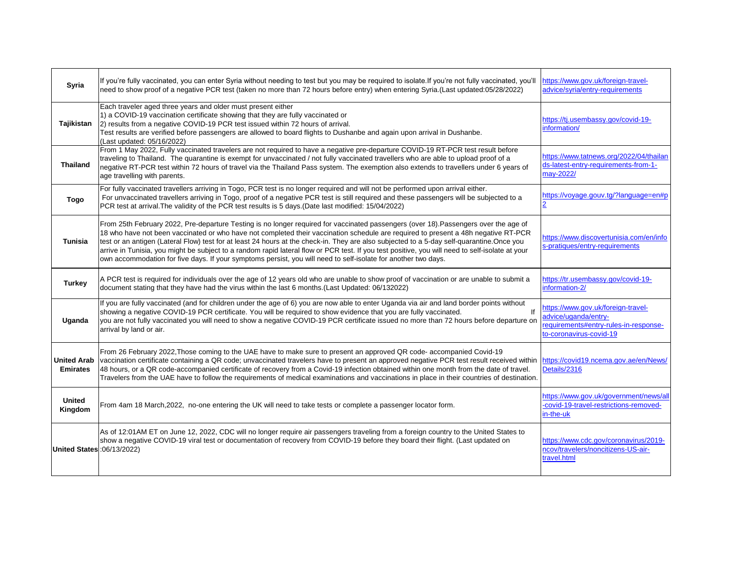| Syria                                 | If you're fully vaccinated, you can enter Syria without needing to test but you may be required to isolate.If you're not fully vaccinated, you'll<br>need to show proof of a negative PCR test (taken no more than 72 hours before entry) when entering Syria.(Last updated:05/28/2022)                                                                                                                                                                                                                                                                                                                                                                                                      | https://www.gov.uk/foreign-travel-<br>advice/syria/entry-requirements                                                          |
|---------------------------------------|----------------------------------------------------------------------------------------------------------------------------------------------------------------------------------------------------------------------------------------------------------------------------------------------------------------------------------------------------------------------------------------------------------------------------------------------------------------------------------------------------------------------------------------------------------------------------------------------------------------------------------------------------------------------------------------------|--------------------------------------------------------------------------------------------------------------------------------|
| Tajikistan                            | Each traveler aged three years and older must present either<br>1) a COVID-19 vaccination certificate showing that they are fully vaccinated or<br>[2] results from a negative COVID-19 PCR test issued within 72 hours of arrival.<br>Test results are verified before passengers are allowed to board flights to Dushanbe and again upon arrival in Dushanbe.<br>(Last updated: 05/16/2022)                                                                                                                                                                                                                                                                                                | https://tj.usembassy.gov/covid-19-<br>information/                                                                             |
| <b>Thailand</b>                       | From 1 May 2022, Fully vaccinated travelers are not required to have a negative pre-departure COVID-19 RT-PCR test result before<br>traveling to Thailand. The quarantine is exempt for unvaccinated / not fully vaccinated travellers who are able to upload proof of a<br>negative RT-PCR test within 72 hours of travel via the Thailand Pass system. The exemption also extends to travellers under 6 years of<br>age travelling with parents.                                                                                                                                                                                                                                           | https://www.tatnews.org/2022/04/thailan<br>ds-latest-entry-requirements-from-1-<br>may-2022/                                   |
| <b>Togo</b>                           | For fully vaccinated travellers arriving in Togo, PCR test is no longer required and will not be performed upon arrival either.<br>For unvaccinated travellers arriving in Togo, proof of a negative PCR test is still required and these passengers will be subjected to a<br>PCR test at arrival. The validity of the PCR test results is 5 days. (Date last modified: 15/04/2022)                                                                                                                                                                                                                                                                                                         | https://voyage.gouv.tg/?language=en#p                                                                                          |
| <b>Tunisia</b>                        | From 25th February 2022, Pre-departure Testing is no longer required for vaccinated passengers (over 18).Passengers over the age of<br>18 who have not been vaccinated or who have not completed their vaccination schedule are required to present a 48h negative RT-PCR<br>test or an antigen (Lateral Flow) test for at least 24 hours at the check-in. They are also subjected to a 5-day self-quarantine. Once you<br>arrive in Tunisia, you might be subject to a random rapid lateral flow or PCR test. If you test positive, you will need to self-isolate at your<br>own accommodation for five days. If your symptoms persist, you will need to self-isolate for another two days. | https://www.discovertunisia.com/en/info<br>s-pratiques/entry-requirements                                                      |
| <b>Turkey</b>                         | A PCR test is required for individuals over the age of 12 years old who are unable to show proof of vaccination or are unable to submit a<br>document stating that they have had the virus within the last 6 months. (Last Updated: 06/132022)                                                                                                                                                                                                                                                                                                                                                                                                                                               | https://tr.usembassy.gov/covid-19-<br>information-2/                                                                           |
| Uganda                                | If you are fully vaccinated (and for children under the age of 6) you are now able to enter Uganda via air and land border points without<br>showing a negative COVID-19 PCR certificate. You will be required to show evidence that you are fully vaccinated.<br>lf<br>you are not fully vaccinated you will need to show a negative COVID-19 PCR certificate issued no more than 72 hours before departure on<br>arrival by land or air.                                                                                                                                                                                                                                                   | https://www.gov.uk/foreign-travel-<br>advice/uganda/entry-<br>requirements#entry-rules-in-response-<br>to-coronavirus-covid-19 |
| <b>United Arab</b><br><b>Emirates</b> | From 26 February 2022, Those coming to the UAE have to make sure to present an approved QR code-accompanied Covid-19<br>vaccination certificate containing a QR code; unvaccinated travelers have to present an approved negative PCR test result received within https://covid19.ncema.gov.ae/en/News/<br>48 hours, or a QR code-accompanied certificate of recovery from a Covid-19 infection obtained within one month from the date of travel.<br>Travelers from the UAE have to follow the requirements of medical examinations and vaccinations in place in their countries of destination.                                                                                            | Details/2316                                                                                                                   |
| <b>United</b><br>Kingdom              | From 4am 18 March, 2022, no-one entering the UK will need to take tests or complete a passenger locator form.                                                                                                                                                                                                                                                                                                                                                                                                                                                                                                                                                                                | https://www.gov.uk/government/news/all<br>-covid-19-travel-restrictions-removed-<br>in-the-uk                                  |
| <b>United States</b> :06/13/2022)     | As of 12:01AM ET on June 12, 2022, CDC will no longer require air passengers traveling from a foreign country to the United States to<br>show a negative COVID-19 viral test or documentation of recovery from COVID-19 before they board their flight. (Last updated on                                                                                                                                                                                                                                                                                                                                                                                                                     | https://www.cdc.gov/coronavirus/2019-<br>ncov/travelers/noncitizens-US-air-<br>travel.html                                     |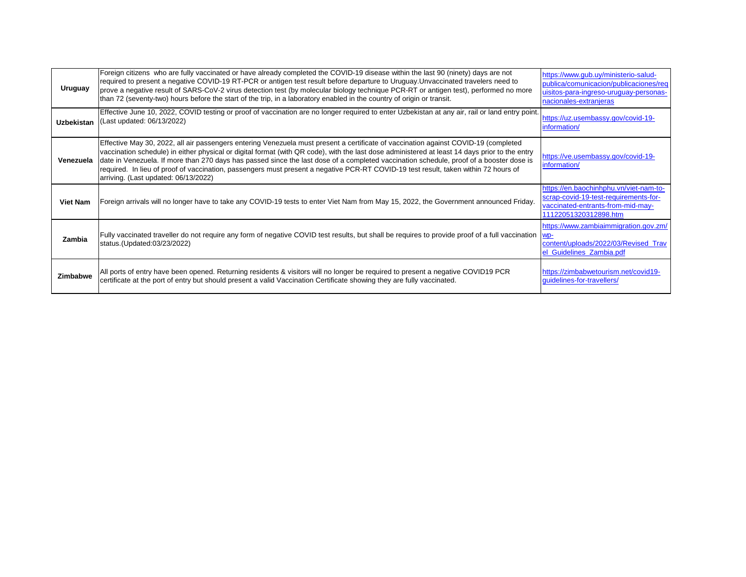| <b>Uruguay</b>    | Foreign citizens who are fully vaccinated or have already completed the COVID-19 disease within the last 90 (ninety) days are not<br>required to present a negative COVID-19 RT-PCR or antigen test result before departure to Uruguay. Unvaccinated travelers need to<br>prove a negative result of SARS-CoV-2 virus detection test (by molecular biology technique PCR-RT or antigen test), performed no more<br>than 72 (seventy-two) hours before the start of the trip, in a laboratory enabled in the country of origin or transit.                                                                       | https://www.gub.uy/ministerio-salud-<br>publica/comunicacion/publicaciones/req<br>uisitos-para-ingreso-uruguay-personas-<br>nacionales-extranjeras |
|-------------------|-----------------------------------------------------------------------------------------------------------------------------------------------------------------------------------------------------------------------------------------------------------------------------------------------------------------------------------------------------------------------------------------------------------------------------------------------------------------------------------------------------------------------------------------------------------------------------------------------------------------|----------------------------------------------------------------------------------------------------------------------------------------------------|
| <b>Uzbekistan</b> | Effective June 10, 2022, COVID testing or proof of vaccination are no longer required to enter Uzbekistan at any air, rail or land entry point.<br>(Last updated: 06/13/2022)                                                                                                                                                                                                                                                                                                                                                                                                                                   | https://uz.usembassy.gov/covid-19-<br>information/                                                                                                 |
| Venezuela         | Effective May 30, 2022, all air passengers entering Venezuela must present a certificate of vaccination against COVID-19 (completed<br>vaccination schedule) in either physical or digital format (with QR code), with the last dose administered at least 14 days prior to the entry<br>date in Venezuela. If more than 270 days has passed since the last dose of a completed vaccination schedule, proof of a booster dose is<br>required. In lieu of proof of vaccination, passengers must present a negative PCR-RT COVID-19 test result, taken within 72 hours of<br>arriving. (Last updated: 06/13/2022) | https://ve.usembassy.gov/covid-19-<br>linformation/                                                                                                |
| <b>Viet Nam</b>   | Foreign arrivals will no longer have to take any COVID-19 tests to enter Viet Nam from May 15, 2022, the Government announced Friday.                                                                                                                                                                                                                                                                                                                                                                                                                                                                           | https://en.baochinhphu.vn/viet-nam-to-<br>scrap-covid-19-test-requirements-for-<br>vaccinated-entrants-from-mid-may-<br>11122051320312898.htm      |
| Zambia            | Fully vaccinated traveller do not require any form of negative COVID test results, but shall be requires to provide proof of a full vaccination  wp-<br>status.(Updated:03/23/2022)                                                                                                                                                                                                                                                                                                                                                                                                                             | https://www.zambiaimmigration.gov.zm/<br>content/uploads/2022/03/Revised Trav<br>el Guidelines Zambia.pdf                                          |
| Zimbabwe          | All ports of entry have been opened. Returning residents & visitors will no longer be required to present a negative COVID19 PCR<br>certificate at the port of entry but should present a valid Vaccination Certificate showing they are fully vaccinated.                                                                                                                                                                                                                                                                                                                                                      | https://zimbabwetourism.net/covid19-<br>guidelines-for-travellers/                                                                                 |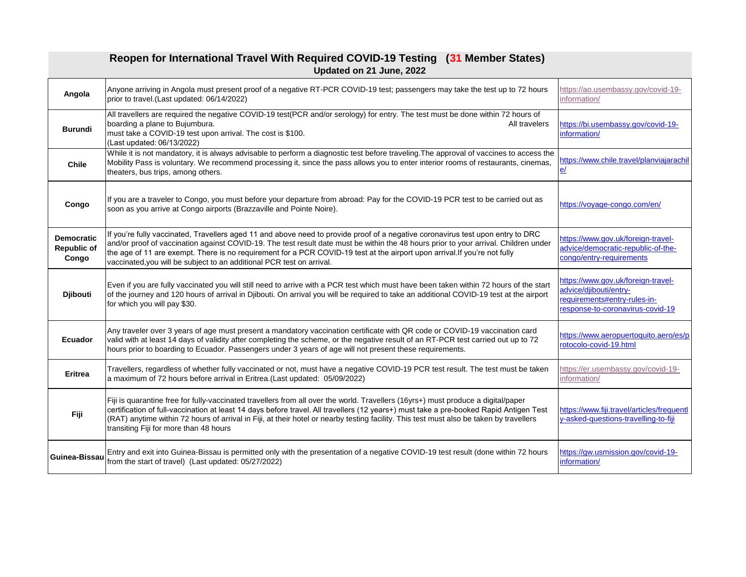| Reopen for International Travel With Required COVID-19 Testing (31 Member States)<br>Updated on 21 June, 2022 |                                                                                                                                                                                                                                                                                                                                                                                                                                                                                |                                                                                                                                  |
|---------------------------------------------------------------------------------------------------------------|--------------------------------------------------------------------------------------------------------------------------------------------------------------------------------------------------------------------------------------------------------------------------------------------------------------------------------------------------------------------------------------------------------------------------------------------------------------------------------|----------------------------------------------------------------------------------------------------------------------------------|
| Angola                                                                                                        | Anyone arriving in Angola must present proof of a negative RT-PCR COVID-19 test; passengers may take the test up to 72 hours<br>prior to travel.(Last updated: 06/14/2022)                                                                                                                                                                                                                                                                                                     | https://ao.usembassv.gov/covid-19-<br>information/                                                                               |
| <b>Burundi</b>                                                                                                | All travellers are required the negative COVID-19 test(PCR and/or serology) for entry. The test must be done within 72 hours of<br>boarding a plane to Bujumbura.<br>All travelers<br>must take a COVID-19 test upon arrival. The cost is \$100.<br>(Last updated: 06/13/2022)                                                                                                                                                                                                 | https://bi.usembassy.gov/covid-19-<br>information/                                                                               |
| <b>Chile</b>                                                                                                  | While it is not mandatory, it is always advisable to perform a diagnostic test before traveling. The approval of vaccines to access the<br>Mobility Pass is voluntary. We recommend processing it, since the pass allows you to enter interior rooms of restaurants, cinemas,<br>theaters, bus trips, among others.                                                                                                                                                            | https://www.chile.travel/planviajarachil<br><u>e/</u>                                                                            |
| Congo                                                                                                         | If you are a traveler to Congo, you must before your departure from abroad: Pay for the COVID-19 PCR test to be carried out as<br>soon as you arrive at Congo airports (Brazzaville and Pointe Noire).                                                                                                                                                                                                                                                                         | https://voyage-congo.com/en/                                                                                                     |
| <b>Democratic</b><br>Republic of<br>Congo                                                                     | If you're fully vaccinated, Travellers aged 11 and above need to provide proof of a negative coronavirus test upon entry to DRC<br>and/or proof of vaccination against COVID-19. The test result date must be within the 48 hours prior to your arrival. Children under<br>the age of 11 are exempt. There is no requirement for a PCR COVID-19 test at the airport upon arrival. If you're not fully<br>vaccinated, you will be subject to an additional PCR test on arrival. | https://www.gov.uk/foreign-travel-<br>advice/democratic-republic-of-the-<br>congo/entry-requirements                             |
| Djibouti                                                                                                      | Even if you are fully vaccinated you will still need to arrive with a PCR test which must have been taken within 72 hours of the start<br>of the journey and 120 hours of arrival in Djibouti. On arrival you will be required to take an additional COVID-19 test at the airport<br>for which you will pay \$30.                                                                                                                                                              | https://www.gov.uk/foreign-travel-<br>advice/djibouti/entry-<br>requirements#entry-rules-in-<br>response-to-coronavirus-covid-19 |
| <b>Ecuador</b>                                                                                                | Any traveler over 3 years of age must present a mandatory vaccination certificate with QR code or COVID-19 vaccination card<br>valid with at least 14 days of validity after completing the scheme, or the negative result of an RT-PCR test carried out up to 72<br>hours prior to boarding to Ecuador. Passengers under 3 years of age will not present these requirements.                                                                                                  | https://www.aeropuertoquito.aero/es/p<br>rotocolo-covid-19.html                                                                  |
| <b>Eritrea</b>                                                                                                | Travellers, regardless of whether fully vaccinated or not, must have a negative COVID-19 PCR test result. The test must be taken<br>a maximum of 72 hours before arrival in Eritrea.(Last updated: 05/09/2022)                                                                                                                                                                                                                                                                 | https://er.usembassy.gov/covid-19-<br>information/                                                                               |
| Fiji                                                                                                          | Fiji is quarantine free for fully-vaccinated travellers from all over the world. Travellers (16yrs+) must produce a digital/paper<br>certification of full-vaccination at least 14 days before travel. All travellers (12 years+) must take a pre-booked Rapid Antigen Test<br>(RAT) anytime within 72 hours of arrival in Fiji, at their hotel or nearby testing facility. This test must also be taken by travellers<br>transiting Fiji for more than 48 hours               | https://www.fiji.travel/articles/frequentl<br>y-asked-questions-travelling-to-fiji                                               |
| Guinea-Bissau                                                                                                 | Entry and exit into Guinea-Bissau is permitted only with the presentation of a negative COVID-19 test result (done within 72 hours<br>from the start of travel) (Last updated: 05/27/2022)                                                                                                                                                                                                                                                                                     | https://gw.usmission.gov/covid-19-<br>information/                                                                               |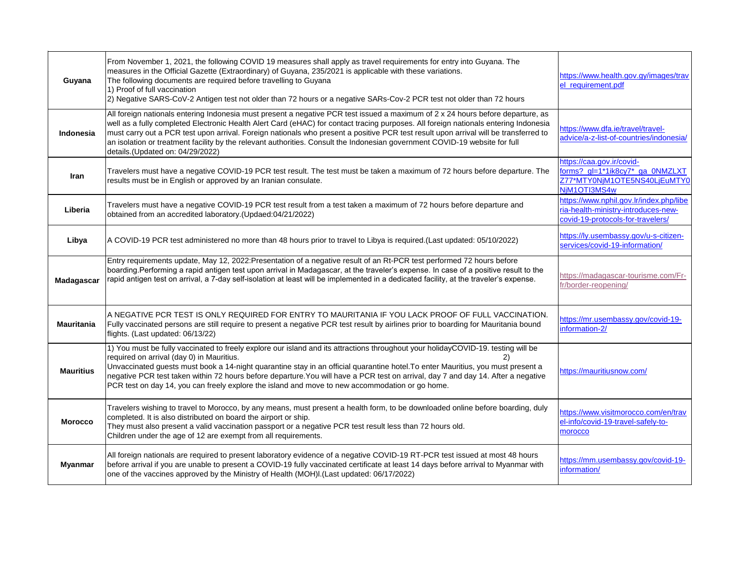| Guyana            | From November 1, 2021, the following COVID 19 measures shall apply as travel requirements for entry into Guyana. The<br>measures in the Official Gazette (Extraordinary) of Guyana, 235/2021 is applicable with these variations.<br>The following documents are required before travelling to Guyana<br>1) Proof of full vaccination<br>2) Negative SARS-CoV-2 Antigen test not older than 72 hours or a negative SARs-Cov-2 PCR test not older than 72 hours                                                                                                                     | https://www.health.gov.gy/images/trav<br>el requirement.pdf                                                         |
|-------------------|------------------------------------------------------------------------------------------------------------------------------------------------------------------------------------------------------------------------------------------------------------------------------------------------------------------------------------------------------------------------------------------------------------------------------------------------------------------------------------------------------------------------------------------------------------------------------------|---------------------------------------------------------------------------------------------------------------------|
| Indonesia         | All foreign nationals entering Indonesia must present a negative PCR test issued a maximum of 2 x 24 hours before departure, as<br>well as a fully completed Electronic Health Alert Card (eHAC) for contact tracing purposes. All foreign nationals entering Indonesia<br>must carry out a PCR test upon arrival. Foreign nationals who present a positive PCR test result upon arrival will be transferred to<br>an isolation or treatment facility by the relevant authorities. Consult the Indonesian government COVID-19 website for full<br>details.(Updated on: 04/29/2022) | https://www.dfa.ie/travel/travel-<br>advice/a-z-list-of-countries/indonesia/                                        |
| Iran              | Travelers must have a negative COVID-19 PCR test result. The test must be taken a maximum of 72 hours before departure. The<br>results must be in English or approved by an Iranian consulate.                                                                                                                                                                                                                                                                                                                                                                                     | https://caa.gov.ir/covid-<br>Z77*MTY0NjM1OTE5NS40LjEuMTY0<br>NjM1OTI3MS4w                                           |
| Liberia           | Travelers must have a negative COVID-19 PCR test result from a test taken a maximum of 72 hours before departure and<br>obtained from an accredited laboratory.(Updaed:04/21/2022)                                                                                                                                                                                                                                                                                                                                                                                                 | https://www.nphil.gov.lr/index.php/libe<br>ria-health-ministry-introduces-new-<br>covid-19-protocols-for-travelers/ |
| Libya             | A COVID-19 PCR test administered no more than 48 hours prior to travel to Libya is required.(Last updated: 05/10/2022)                                                                                                                                                                                                                                                                                                                                                                                                                                                             | https://ly.usembassy.gov/u-s-citizen-<br>services/covid-19-information/                                             |
| Madagascar        | Entry requirements update, May 12, 2022: Presentation of a negative result of an Rt-PCR test performed 72 hours before<br>boarding. Performing a rapid antigen test upon arrival in Madagascar, at the traveler's expense. In case of a positive result to the<br>rapid antigen test on arrival, a 7-day self-isolation at least will be implemented in a dedicated facility, at the traveler's expense.                                                                                                                                                                           | https://madagascar-tourisme.com/Fr-<br>fr/border-reopening/                                                         |
| <b>Mauritania</b> | A NEGATIVE PCR TEST IS ONLY REQUIRED FOR ENTRY TO MAURITANIA IF YOU LACK PROOF OF FULL VACCINATION.<br>Fully vaccinated persons are still require to present a negative PCR test result by airlines prior to boarding for Mauritania bound<br>flights. (Last updated: 06/13/22)                                                                                                                                                                                                                                                                                                    | https://mr.usembassy.gov/covid-19-<br>information-2/                                                                |
| <b>Mauritius</b>  | 1) You must be fully vaccinated to freely explore our island and its attractions throughout your holidayCOVID-19. testing will be<br>required on arrival (day 0) in Mauritius.<br>2)<br>Unvaccinated guests must book a 14-night quarantine stay in an official quarantine hotel.To enter Mauritius, you must present a<br>negative PCR test taken within 72 hours before departure. You will have a PCR test on arrival, day 7 and day 14. After a negative<br>PCR test on day 14, you can freely explore the island and move to new accommodation or go home.                    | https://mauritiusnow.com/                                                                                           |
| <b>Morocco</b>    | Travelers wishing to travel to Morocco, by any means, must present a health form, to be downloaded online before boarding, duly<br>completed. It is also distributed on board the airport or ship.<br>They must also present a valid vaccination passport or a negative PCR test result less than 72 hours old.<br>Children under the age of 12 are exempt from all requirements.                                                                                                                                                                                                  | https://www.visitmorocco.com/en/trav<br>el-info/covid-19-travel-safely-to-<br>morocco                               |
| <b>Myanmar</b>    | All foreign nationals are required to present laboratory evidence of a negative COVID-19 RT-PCR test issued at most 48 hours<br>before arrival if you are unable to present a COVID-19 fully vaccinated certificate at least 14 days before arrival to Myanmar with<br>one of the vaccines approved by the Ministry of Health (MOH)I.(Last updated: 06/17/2022)                                                                                                                                                                                                                    | https://mm.usembassy.gov/covid-19-<br>information/                                                                  |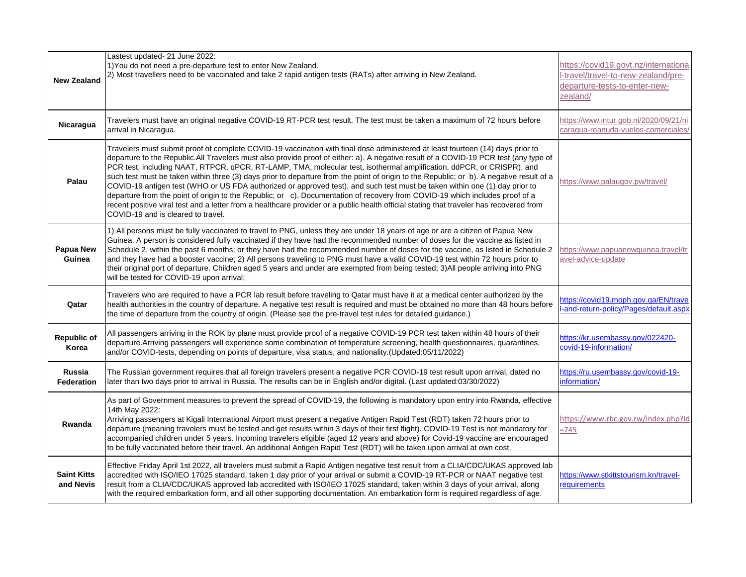| <b>New Zealand</b>                 | Lastest updated- 21 June 2022:<br>1) You do not need a pre-departure test to enter New Zealand.<br>[2] Most travellers need to be vaccinated and take 2 rapid antigen tests (RATs) after arriving in New Zealand.                                                                                                                                                                                                                                                                                                                                                                                                                                                                                                                                                                                                                                                                                                                                                                          | https://covid19.govt.nz/internationa<br>I-travel/travel-to-new-zealand/pre-<br>departure-tests-to-enter-new- |
|------------------------------------|--------------------------------------------------------------------------------------------------------------------------------------------------------------------------------------------------------------------------------------------------------------------------------------------------------------------------------------------------------------------------------------------------------------------------------------------------------------------------------------------------------------------------------------------------------------------------------------------------------------------------------------------------------------------------------------------------------------------------------------------------------------------------------------------------------------------------------------------------------------------------------------------------------------------------------------------------------------------------------------------|--------------------------------------------------------------------------------------------------------------|
| Nicaragua                          | Travelers must have an original negative COVID-19 RT-PCR test result. The test must be taken a maximum of 72 hours before                                                                                                                                                                                                                                                                                                                                                                                                                                                                                                                                                                                                                                                                                                                                                                                                                                                                  | zealand/<br>https://www.intur.gob.ni/2020/09/21/ni                                                           |
|                                    | arrival in Nicaragua.                                                                                                                                                                                                                                                                                                                                                                                                                                                                                                                                                                                                                                                                                                                                                                                                                                                                                                                                                                      | caragua-reanuda-vuelos-comerciales/                                                                          |
| Palau                              | Travelers must submit proof of complete COVID-19 vaccination with final dose administered at least fourteen (14) days prior to<br>departure to the Republic.All Travelers must also provide proof of either: a). A negative result of a COVID-19 PCR test (any type of<br>PCR test, including NAAT, RTPCR, qPCR, RT-LAMP, TMA, molecular test, isothermal amplification, ddPCR, or CRISPR), and<br>such test must be taken within three (3) days prior to departure from the point of origin to the Republic; or b). A negative result of a<br>COVID-19 antigen test (WHO or US FDA authorized or approved test), and such test must be taken within one (1) day prior to<br>departure from the point of origin to the Republic; or c). Documentation of recovery from COVID-19 which includes proof of a<br>recent positive viral test and a letter from a healthcare provider or a public health official stating that traveler has recovered from<br>COVID-19 and is cleared to travel. | https://www.palaugov.pw/travel/                                                                              |
| <b>Papua New</b><br>Guinea         | 1) All persons must be fully vaccinated to travel to PNG, unless they are under 18 years of age or are a citizen of Papua New<br>Guinea. A person is considered fully vaccinated if they have had the recommended number of doses for the vaccine as listed in<br>Schedule 2, within the past 6 months; or they have had the recommended number of doses for the vaccine, as listed in Schedule 2<br>and they have had a booster vaccine; 2) All persons traveling to PNG must have a valid COVID-19 test within 72 hours prior to<br>their original port of departure. Children aged 5 years and under are exempted from being tested; 3) All people arriving into PNG<br>will be tested for COVID-19 upon arrival;                                                                                                                                                                                                                                                                       | https://www.papuanewguinea.travel/tr<br>avel-advice-update                                                   |
| Qatar                              | Travelers who are required to have a PCR lab result before traveling to Qatar must have it at a medical center authorized by the<br>health authorities in the country of departure. A negative test result is required and must be obtained no more than 48 hours before<br>the time of departure from the country of origin. (Please see the pre-travel test rules for detailed guidance.)                                                                                                                                                                                                                                                                                                                                                                                                                                                                                                                                                                                                | https://covid19.moph.gov.ga/EN/trave<br>l-and-return-policy/Pages/default.aspx                               |
| <b>Republic of</b><br>Korea        | All passengers arriving in the ROK by plane must provide proof of a negative COVID-19 PCR test taken within 48 hours of their<br>departure.Arriving passengers will experience some combination of temperature screening, health questionnaires, quarantines,<br>and/or COVID-tests, depending on points of departure, visa status, and nationality.(Updated:05/11/2022)                                                                                                                                                                                                                                                                                                                                                                                                                                                                                                                                                                                                                   | https://kr.usembassy.gov/022420-<br>covid-19-information/                                                    |
| <b>Russia</b><br><b>Federation</b> | The Russian government requires that all foreign travelers present a negative PCR COVID-19 test result upon arrival, dated no<br>later than two days prior to arrival in Russia. The results can be in English and/or digital. (Last updated:03/30/2022)                                                                                                                                                                                                                                                                                                                                                                                                                                                                                                                                                                                                                                                                                                                                   | https://ru.usembassy.gov/covid-19-<br>information/                                                           |
| Rwanda                             | As part of Government measures to prevent the spread of COVID-19, the following is mandatory upon entry into Rwanda, effective<br>14th May 2022:<br>Arriving passengers at Kigali International Airport must present a negative Antigen Rapid Test (RDT) taken 72 hours prior to<br>departure (meaning travelers must be tested and get results within 3 days of their first flight). COVID-19 Test is not mandatory for<br>accompanied children under 5 years. Incoming travelers eligible (aged 12 years and above) for Covid-19 vaccine are encouraged<br>to be fully vaccinated before their travel. An additional Antigen Rapid Test (RDT) will be taken upon arrival at own cost.                                                                                                                                                                                                                                                                                                    | https://www.rbc.gov.rw/index.php?id<br>$=745$                                                                |
| <b>Saint Kitts</b><br>and Nevis    | Effective Friday April 1st 2022, all travelers must submit a Rapid Antigen negative test result from a CLIA/CDC/UKAS approved lab<br>accredited with ISO/IEO 17025 standard, taken 1 day prior of your arrival or submit a COVID-19 RT-PCR or NAAT negative test<br>result from a CLIA/CDC/UKAS approved lab accredited with ISO/IEO 17025 standard, taken within 3 days of your arrival, along<br>with the required embarkation form, and all other supporting documentation. An embarkation form is required regardless of age.                                                                                                                                                                                                                                                                                                                                                                                                                                                          | https://www.stkittstourism.kn/travel-<br>requirements                                                        |